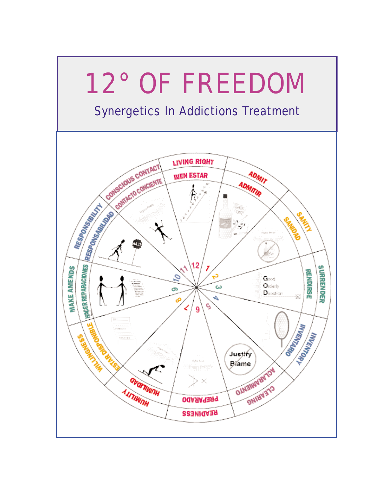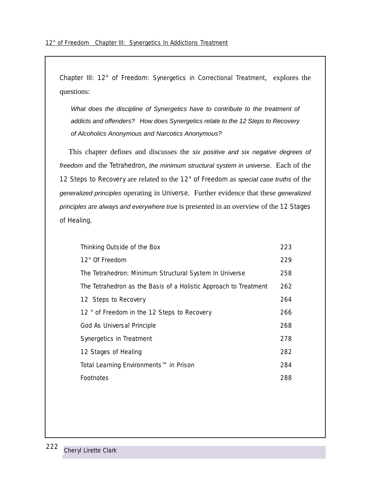Chapter III: 12° of Freedom: Synergetics in Correctional Treatment, explores the questions:

What does the discipline of Synergetics have to contribute to the treatment of addicts and offenders? How does Synergetics relate to the 12 Steps to Recovery of Alcoholics Anonymous and Narcotics Anonymous?

This chapter defines and discusses the six positive and six negative degrees of freedom and the Tetrahedron, the minimum structural system in universe. Each of the 12 Steps to Recovery are related to the 12° of Freedom as special case truths of the generalized principles operating in Universe. Further evidence that these generalized principles are always and everywhere true is presented in an overview of the 12 Stages of Healing.

| Thinking Outside of the Box                                      | 223 |
|------------------------------------------------------------------|-----|
| 12° Of Freedom                                                   | 229 |
| The Tetrahedron: Minimum Structural System In Universe           | 258 |
| The Tetrahedron as the Basis of a Holistic Approach to Treatment | 262 |
| 12 Steps to Recovery                                             | 264 |
| 12 ° of Freedom in the 12 Steps to Recovery                      | 266 |
| God As Universal Principle                                       | 268 |
| Synergetics in Treatment                                         | 278 |
| 12 Stages of Healing                                             |     |
| Total Learning Environments™ in Prison                           | 284 |
| Footnotes                                                        | 288 |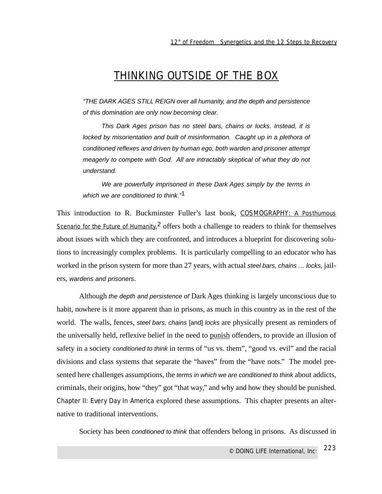### THINKING OUTSIDE OF THE BOX

"THE DARK AGES STILL REIGN over all humanity, and the depth and persistence of this domination are only now becoming clear.

This Dark Ages prison has no steel bars, chains or locks. Instead, it is locked by misorientation and built of misinformation. Caught up in a plethora of conditioned reflexes and driven by human ego, both warden and prisoner attempt meagerly to compete with God. All are intractably skeptical of what they do not understand.

We are powerfully imprisoned in these Dark Ages simply by the terms in which we are conditioned to think."<sup>1</sup>

This introduction to R. Buckminster Fuller's last book, COSMOGRAPHY: A Posthumous Scenario for the Future of Humanity,<sup>2</sup> offers both a challenge to readers to think for themselves about issues with which they are confronted, and introduces a blueprint for discovering solutions to increasingly complex problems. It is particularly compelling to an educator who has worked in the prison system for more than 27 years, with actual steel bars, chains ... locks, jailers, wardens and prisoners.

Although the depth and persistence of Dark Ages thinking is largely unconscious due to habit, nowhere is it more apparent than in prisons, as much in this country as in the rest of the world. The walls, fences, steel bars, chains [and] locks are physically present as reminders of the universally held, reflexive belief in the need to punish offenders, to provide an illusion of safety in a society conditioned to think in terms of "us vs. them", "good vs. evil" and the racial divisions and class systems that separate the "haves" from the "have nots." The model presented here challenges assumptions, the terms in which we are conditioned to think about addicts, criminals, their origins, how "they" got "that way," and why and how they should be punished. Chapter II: Every Day In America explored these assumptions. This chapter presents an alternative to traditional interventions.

Society has been conditioned to think that offenders belong in prisons. As discussed in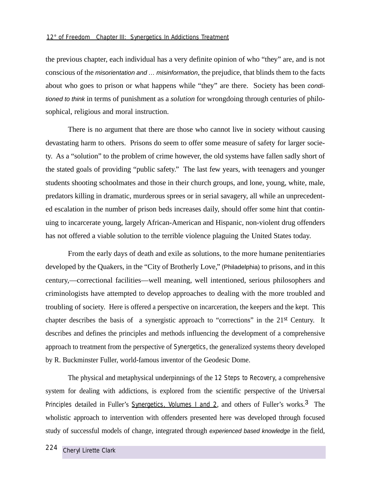the previous chapter, each individual has a very definite opinion of who "they" are, and is not conscious of the misorientation and … misinformation, the prejudice, that blinds them to the facts about who goes to prison or what happens while "they" are there. Society has been conditioned to think in terms of punishment as a *solution* for wrongdoing through centuries of philosophical, religious and moral instruction.

There is no argument that there are those who cannot live in society without causing devastating harm to others. Prisons do seem to offer some measure of safety for larger society. As a "solution" to the problem of crime however, the old systems have fallen sadly short of the stated goals of providing "public safety." The last few years, with teenagers and younger students shooting schoolmates and those in their church groups, and lone, young, white, male, predators killing in dramatic, murderous sprees or in serial savagery, all while an unprecedented escalation in the number of prison beds increases daily, should offer some hint that continuing to incarcerate young, largely African-American and Hispanic, non-violent drug offenders has not offered a viable solution to the terrible violence plaguing the United States today.

From the early days of death and exile as solutions, to the more humane penitentiaries developed by the Quakers, in the "City of Brotherly Love," (Philadelphia) to prisons, and in this century,—correctional facilities—well meaning, well intentioned, serious philosophers and criminologists have attempted to develop approaches to dealing with the more troubled and troubling of society. Here is offered a perspective on incarceration, the keepers and the kept. This chapter describes the basis of a synergistic approach to "corrections" in the 21st Century. It describes and defines the principles and methods influencing the development of a comprehensive approach to treatment from the perspective of Synergetics, the generalized systems theory developed by R. Buckminster Fuller, world-famous inventor of the Geodesic Dome.

The physical and metaphysical underpinnings of the 12 Steps to Recovery, a comprehensive system for dealing with addictions, is explored from the scientific perspective of the Universal Principles detailed in Fuller's Synergetics, Volumes 1 and 2, and others of Fuller's works.<sup>3</sup> The wholistic approach to intervention with offenders presented here was developed through focused study of successful models of change, integrated through experienced based knowledge in the field,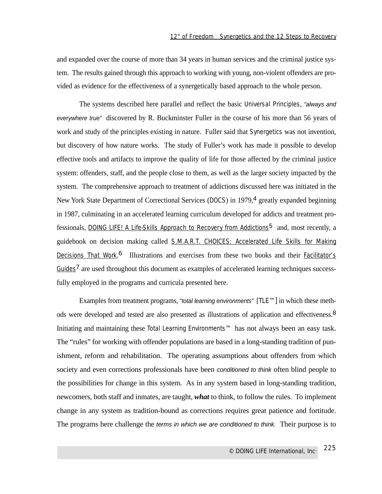and expanded over the course of more than 34 years in human services and the criminal justice system. The results gained through this approach to working with young, non-violent offenders are provided as evidence for the effectiveness of a synergetically based approach to the whole person.

The systems described here parallel and reflect the basic Universal Principles, "always and everywhere true" discovered by R. Buckminster Fuller in the course of his more than 56 years of work and study of the principles existing in nature. Fuller said that Synergetics was not invention, but discovery of how nature works. The study of Fuller's work has made it possible to develop effective tools and artifacts to improve the quality of life for those affected by the criminal justice system: offenders, staff, and the people close to them, as well as the larger society impacted by the system. The comprehensive approach to treatment of addictions discussed here was initiated in the New York State Department of Correctional Services (DOCS) in 1979,<sup>4</sup> greatly expanded beginning in 1987, culminating in an accelerated learning curriculum developed for addicts and treatment professionals, DOING LIFE! A Life-Skills Approach to Recovery from Addictions5 and, most recently, a guidebook on decision making called S.M.A.R.T. CHOICES: Accelerated Life Skills for Making Decisions That Work.<sup>6</sup> Illustrations and exercises from these two books and their **Facilitator's** Guides<sup>7</sup> are used throughout this document as examples of accelerated learning techniques successfully employed in the programs and curricula presented here.

Examples from treatment programs, "total learning environments" [TLE™] in which these methods were developed and tested are also presented as illustrations of application and effectiveness.<sup>8</sup> Initiating and maintaining these Total Learning Environments™ has not always been an easy task. The "rules" for working with offender populations are based in a long-standing tradition of punishment, reform and rehabilitation. The operating assumptions about offenders from which society and even corrections professionals have been *conditioned to think* often blind people to the possibilities for change in this system. As in any system based in long-standing tradition, newcomers, both staff and inmates, are taught, *what* to think, to follow the rules. To implement change in any system as tradition-bound as corrections requires great patience and fortitude. The programs here challenge the terms in which we are conditioned to think. Their purpose is to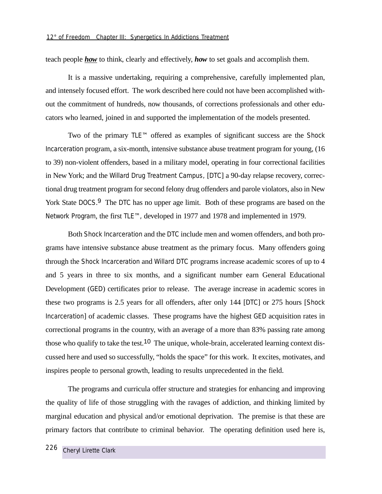teach people *how* to think, clearly and effectively, *how* to set goals and accomplish them.

It is a massive undertaking, requiring a comprehensive, carefully implemented plan, and intensely focused effort. The work described here could not have been accomplished without the commitment of hundreds, now thousands, of corrections professionals and other educators who learned, joined in and supported the implementation of the models presented.

Two of the primary TLE™ offered as examples of significant success are the Shock Incarceration program, a six-month, intensive substance abuse treatment program for young, (16 to 39) non-violent offenders, based in a military model, operating in four correctional facilities in New York; and the Willard Drug Treatment Campus, [DTC] a 90-day relapse recovery, correctional drug treatment program for second felony drug offenders and parole violators, also in New York State DOCS.<sup>9</sup> The DTC has no upper age limit. Both of these programs are based on the Network Program, the first TLE™, developed in 1977 and 1978 and implemented in 1979.

Both Shock Incarceration and the DTC include men and women offenders, and both programs have intensive substance abuse treatment as the primary focus. Many offenders going through the Shock Incarceration and Willard DTC programs increase academic scores of up to 4 and 5 years in three to six months, and a significant number earn General Educational Development (GED) certificates prior to release. The average increase in academic scores in these two programs is 2.5 years for all offenders, after only 144 [DTC] or 275 hours [Shock Incarceration] of academic classes. These programs have the highest GED acquisition rates in correctional programs in the country, with an average of a more than 83% passing rate among those who qualify to take the test.<sup>10</sup> The unique, whole-brain, accelerated learning context discussed here and used so successfully, "holds the space" for this work. It excites, motivates, and inspires people to personal growth, leading to results unprecedented in the field.

The programs and curricula offer structure and strategies for enhancing and improving the quality of life of those struggling with the ravages of addiction, and thinking limited by marginal education and physical and/or emotional deprivation. The premise is that these are primary factors that contribute to criminal behavior. The operating definition used here is,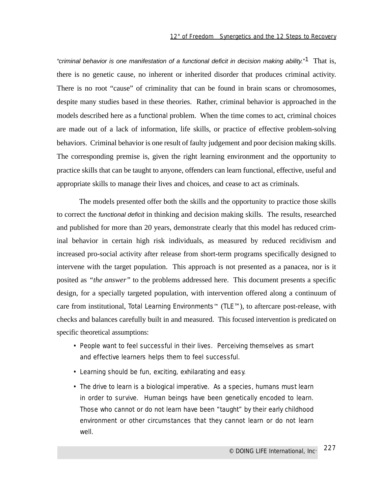"criminal behavior is one manifestation of a functional deficit in decision making ability."<sup>1</sup> That is, there is no genetic cause, no inherent or inherited disorder that produces criminal activity. There is no root "cause" of criminality that can be found in brain scans or chromosomes, despite many studies based in these theories. Rather, criminal behavior is approached in the models described here as a *functional* problem. When the time comes to act, criminal choices are made out of a lack of information, life skills, or practice of effective problem-solving behaviors. Criminal behavior is one result of faulty judgement and poor decision making skills. The corresponding premise is, given the right learning environment and the opportunity to practice skills that can be taught to anyone, offenders can learn functional, effective, useful and appropriate skills to manage their lives and choices, and cease to act as criminals.

The models presented offer both the skills and the opportunity to practice those skills to correct the functional deficit in thinking and decision making skills. The results, researched and published for more than 20 years, demonstrate clearly that this model has reduced criminal behavior in certain high risk individuals, as measured by reduced recidivism and increased pro-social activity after release from short-term programs specifically designed to intervene with the target population. This approach is not presented as a panacea, nor is it posited as *"the answer"* to the problems addressed here. This document presents a specific design, for a specially targeted population, with intervention offered along a continuum of care from institutional, Total Learning Environments™ (TLE™), to aftercare post-release, with checks and balances carefully built in and measured. This focused intervention is predicated on specific theoretical assumptions:

- *People want to feel successful in their lives. Perceiving themselves as smart and effective learners helps them to feel successful.*
- *Learning should be fun, exciting, exhilarating and easy.*
- *The drive to learn is a biological imperative. As a species, humans must learn in order to survive. Human beings have been genetically encoded to learn. Those who cannot or do not learn have been "taught" by their early childhood environment or other circumstances that they cannot learn or do not learn well.*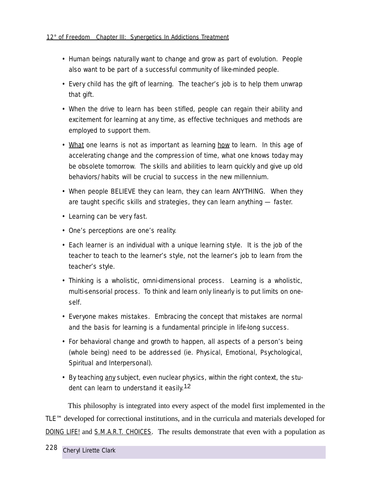- *Human beings naturally want to change and grow as part of evolution. People also want to be part of a successful community of like-minded people.*
- *• Every child has the gift of learning. The teacher's job is to help them unwrap that gift.*
- *• When the drive to learn has been stifled, people can regain their ability and excitement for learning at any time, as effective techniques and methods are employed to support them.*
- *What one learns is not as important as learning how to learn. In this age of accelerating change and the compression of time, what one knows today may be obsolete tomorrow. The skills and abilities to learn quickly and give up old behaviors/habits will be crucial to success in the new millennium.*
- *When people BELIEVE they can learn, they can learn ANYTHING. When they are taught specific skills and strategies, they can learn anything — faster.*
- *Learning can be very fast.*
- *• One's perceptions are one's reality.*
- *• Each learner is an individual with a unique learning style. It is the job of the teacher to teach to the learner's style, not the learner's job to learn from the teacher's style.*
- *• Thinking is a wholistic, omni-dimensional process. Learning is a wholistic, multi-sensorial process. To think and learn only linearly is to put limits on oneself.*
- *Everyone makes mistakes. Embracing the concept that mistakes are normal and the basis for learning is a fundamental principle in life-long success.*
- *For behavioral change and growth to happen, all aspects of a person's being (whole being) need to be addressed (ie. Physical, Emotional, Psychological, Spiritual and Interpersonal).*
- *By teaching any subject, even nuclear physics, within the right context, the student can learn to understand it easily.*12

This philosophy is integrated into every aspect of the model first implemented in the TLE™ developed for correctional institutions, and in the curricula and materials developed for DOING LIFE! and S.M.A.R.T. CHOICES. The results demonstrate that even with a population as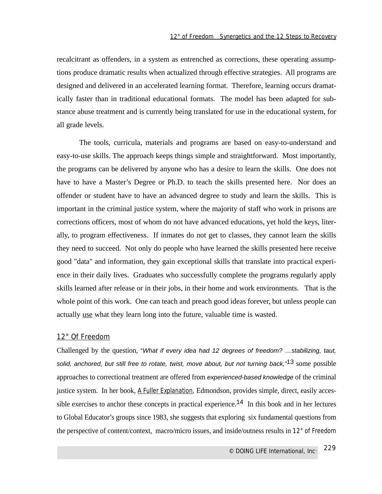recalcitrant as offenders, in a system as entrenched as corrections, these operating assumptions produce dramatic results when actualized through effective strategies. All programs are designed and delivered in an accelerated learning format. Therefore, learning occurs dramatically faster than in traditional educational formats. The model has been adapted for substance abuse treatment and is currently being translated for use in the educational system, for all grade levels.

The tools, curricula, materials and programs are based on easy-to-understand and easy-to-use skills. The approach keeps things simple and straightforward. Most importantly, the programs can be delivered by anyone who has a desire to learn the skills. One does not have to have a Master's Degree or Ph.D. to teach the skills presented here. Nor does an offender or student have to have an advanced degree to study and learn the skills. This is important in the criminal justice system, where the majority of staff who work in prisons are corrections officers, most of whom do not have advanced educations, yet hold the keys, literally, to program effectiveness. If inmates do not get to classes, they cannot learn the skills they need to succeed. Not only do people who have learned the skills presented here receive good "data" and information, they gain exceptional skills that translate into practical experience in their daily lives. Graduates who successfully complete the programs regularly apply skills learned after release or in their jobs, in their home and work environments. That is the whole point of this work. One can teach and preach good ideas forever, but unless people can actually use what they learn long into the future, valuable time is wasted.

### 12° Of Freedom

Challenged by the question, "What if every idea had 12 degrees of freedom? …stabilizing, taut, solid, anchored, but still free to rotate, twist, move about, but not turning back,"<sup>13</sup> some possible approaches to correctional treatment are offered from experienced-based knowledge of the criminal justice system. In her book, A Fuller Explanation, Edmondson, provides simple, direct, easily accessible exercises to anchor these concepts in practical experience.<sup>14</sup> In this book and in her lectures to Global Educator's groups since 1983, she suggests that exploring six fundamental questions from the perspective of content/context, macro/micro issues, and inside/outness results in 12° of Freedom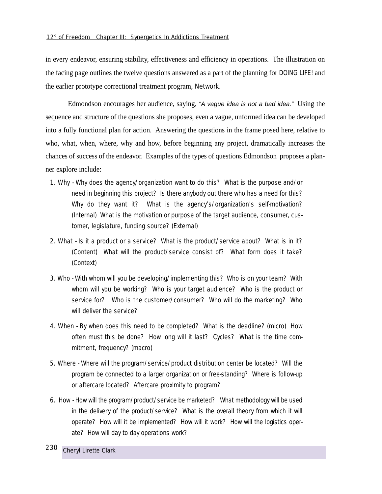in every endeavor, ensuring stability, effectiveness and efficiency in operations. The illustration on the facing page outlines the twelve questions answered as a part of the planning for DOING LIFE! and the earlier prototype correctional treatment program, Network.

Edmondson encourages her audience, saying, "A vague idea is not a bad idea." Using the sequence and structure of the questions she proposes, even a vague, unformed idea can be developed into a fully functional plan for action. Answering the questions in the frame posed here, relative to who, what, when, where, why and how, before beginning any project, dramatically increases the chances of success of the endeavor. Examples of the types of questions Edmondson proposes a planner explore include:

- 1. Why Why does the agency/organization want to do this? What is the purpose and/or need in beginning this project? Is there anybody out there who has a need for this? Why do they want it? What is the agency's/organization's self-motivation? (Internal) What is the motivation or purpose of the target audience, consumer, customer, legislature, funding source? (External)
- 2. What Is it a product or a service? What is the product/service about? What is in it? (Content) What will the product/service consist of? What form does it take? (Context)
- 3. Who With whom will you be developing/implementing this? Who is on your team? With whom will you be working? Who is your target audience? Who is the product or service for? Who is the customer/consumer? Who will do the marketing? Who will deliver the service?
- 4. When By when does this need to be completed? What is the deadline? (micro) How often must this be done? How long will it last? Cycles? What is the time commitment, frequency? (macro)
- 5. Where Where will the program/service/product distribution center be located? Will the program be connected to a larger organization or free-standing? Where is follow-up or aftercare located? Aftercare proximity to program?
- 6. How How will the program/product/service be marketed? What methodology will be used in the delivery of the product/service? What is the overall theory from which it will operate? How will it be implemented? How will it work? How will the logistics operate? How will day to day operations work?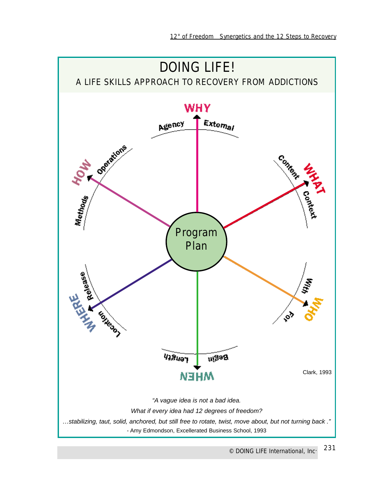

*© DOING LIFE International, Inc.* 231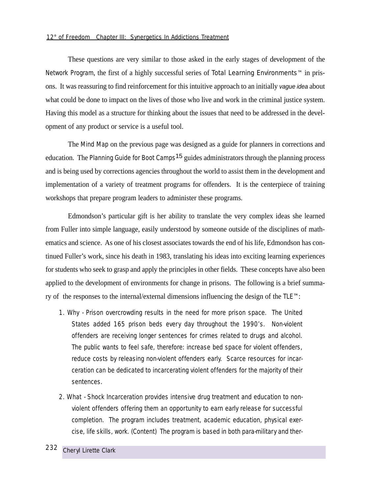#### *12° of Freedom Chapter III: Synergetics In Addictions Treatment*

These questions are very similar to those asked in the early stages of development of the Network Program, the first of a highly successful series of Total Learning Environments™ in prisons. It was reassuring to find reinforcement for this intuitive approach to an initially vague idea about what could be done to impact on the lives of those who live and work in the criminal justice system. Having this model as a structure for thinking about the issues that need to be addressed in the development of any product or service is a useful tool.

The Mind Map on the previous page was designed as a guide for planners in corrections and education. The *Planning Guide for Boot Camps*15 guides administrators through the planning process and is being used by corrections agencies throughout the world to assist them in the development and implementation of a variety of treatment programs for offenders. It is the centerpiece of training workshops that prepare program leaders to administer these programs.

Edmondson's particular gift is her ability to translate the very complex ideas she learned from Fuller into simple language, easily understood by someone outside of the disciplines of mathematics and science. As one of his closest associates towards the end of his life, Edmondson has continued Fuller's work, since his death in 1983, translating his ideas into exciting learning experiences for students who seek to grasp and apply the principles in other fields. These concepts have also been applied to the development of environments for change in prisons. The following is a brief summary of the responses to the internal/external dimensions influencing the design of the TLE™:

- 1. Why Prison overcrowding results in the need for more prison space. The United States added 165 prison beds every day throughout the 1990's. Non-violent offenders are receiving longer sentences for crimes related to drugs and alcohol. The public wants to feel safe, therefore: increase bed space for violent offenders, reduce costs by releasing non-violent offenders early. Scarce resources for incarceration can be dedicated to incarcerating violent offenders for the majority of their sentences.
- 2. What Shock Incarceration provides intensive drug treatment and education to nonviolent offenders offering them an opportunity to earn early release for successful completion. The program includes treatment, academic education, physical exercise, life skills, work. (Content) The program is based in both para-military and ther-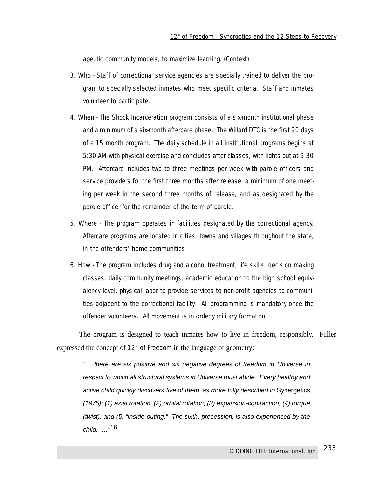apeutic community models, to maximize learning. (Context)

- 3. Who Staff of correctional service agencies are specially trained to deliver the program to specially selected inmates who meet specific criteria. Staff and inmates volunteer to participate.
- 4. When The Shock Incarceration program consists of a six-month institutional phase and a minimum of a six-month aftercare phase. The Willard DTC is the first 90 days of a 15 month program. The daily schedule in all institutional programs begins at 5:30 AM with physical exercise and concludes after classes, with lights out at 9:30 PM. Aftercare includes two to three meetings per week with parole officers and service providers for the first three months after release, a minimum of one meeting per week in the second three months of release, and as designated by the parole officer for the remainder of the term of parole.
- 5. Where The program operates in facilities designated by the correctional agency. Aftercare programs are located in cities, towns and villages throughout the state, in the offenders' home communities.
- 6. How The program includes drug and alcohol treatment, life skills, decision making classes, daily community meetings, academic education to the high school equivalency level, physical labor to provide services to non-profit agencies to communities adjacent to the correctional facility. All programming is mandatory once the offender volunteers. All movement is in orderly military formation.

The program is designed to teach inmates how to live in freedom, responsibly. Fuller expressed the concept of 12° of Freedom in the language of geometry:

"… there are six positive and six negative degrees of freedom in Universe in respect to which all structural systems in Universe must abide. Every healthy and active child quickly discovers five of them, as more fully described in Synergetics (1975): (1) axial rotation, (2) orbital rotation, (3) expansion-contraction, (4) torque (twist), and (5) "inside-outing." The sixth, precession, is also experienced by the child, …"16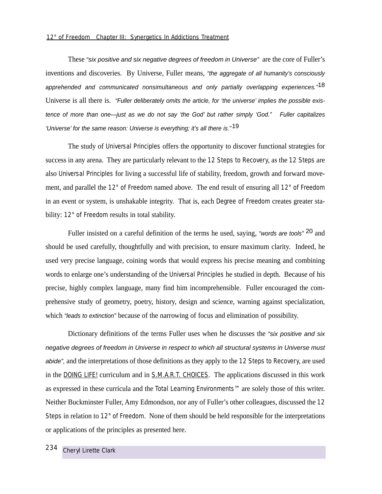#### *12° of Freedom Chapter III: Synergetics In Addictions Treatment*

These "six positive and six negative degrees of freedom in Universe" are the core of Fuller's inventions and discoveries. By Universe, Fuller means, "the aggregate of all humanity's consciously apprehended and communicated nonsimultaneous and only partially overlapping experiences.<sup>"18</sup> Universe is all there is. "Fuller deliberately omits the article, for 'the universe' implies the possible existence of more than one—just as we do not say 'the God' but rather simply 'God." Fuller capitalizes 'Universe' for the same reason: Universe is everything; it's all there is." $19$ 

The study of Universal Principles offers the opportunity to discover functional strategies for success in any arena. They are particularly relevant to the 12 Steps to Recovery, as the 12 Steps are also Universal Principles for living a successful life of stability, freedom, growth and forward movement, and parallel the 12° of Freedom named above. The end result of ensuring all 12° of Freedom in an event or system, is unshakable integrity. That is, each Degree of Freedom creates greater stability: 12° of Freedom results in total stability.

Fuller insisted on a careful definition of the terms he used, saying, "words are tools" <sup>20</sup> and should be used carefully, thoughtfully and with precision, to ensure maximum clarity. Indeed, he used very precise language, coining words that would express his precise meaning and combining words to enlarge one's understanding of the Universal Principles he studied in depth. Because of his precise, highly complex language, many find him incomprehensible. Fuller encouraged the comprehensive study of geometry, poetry, history, design and science, warning against specialization, which "leads to extinction" because of the narrowing of focus and elimination of possibility.

Dictionary definitions of the terms Fuller uses when he discusses the "six positive and six" negative degrees of freedom in Universe in respect to which all structural systems in Universe must abide", and the interpretations of those definitions as they apply to the 12 Steps to Recovery, are used in the DOING LIFE! curriculum and in S.M.A.R.T. CHOICES. The applications discussed in this work as expressed in these curricula and the Total Learning Environments™ are solely those of this writer. Neither Buckminster Fuller, Amy Edmondson, nor any of Fuller's other colleagues, discussed the 12 Steps in relation to 12° of Freedom. None of them should be held responsible for the interpretations or applications of the principles as presented here.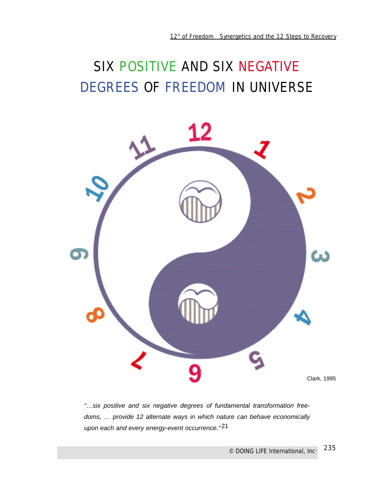# SIX POSITIVE AND SIX NEGATIVE DEGREES OF FREEDOM IN UNIVERSE



"…six positive and six negative degrees of fundamental transformation freedoms, … provide 12 alternate ways in which nature can behave economically upon each and every energy-event occurrence."<sup>21</sup>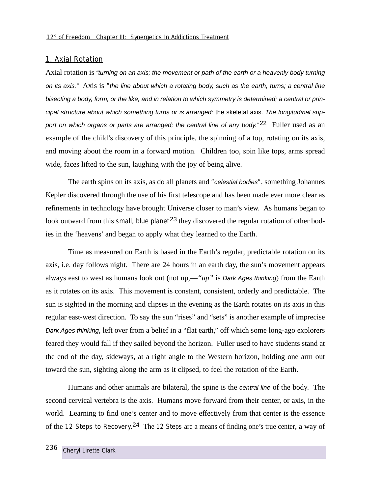### 1. Axial Rotation

Axial rotation is "turning on an axis; the movement or path of the earth or a heavenly body turning on its axis." Axis is *"*the line about which a rotating body, such as the earth, turns; a central line bisecting a body, form, or the like, and in relation to which symmetry is determined; a central or principal structure about which something turns or is arranged: the skeletal axis. The longitudinal support on which organs or parts are arranged; the central line of any body." $22$  Fuller used as an example of the child's discovery of this principle, the spinning of a top, rotating on its axis, and moving about the room in a forward motion. Children too, spin like tops, arms spread wide, faces lifted to the sun, laughing with the joy of being alive.

The earth spins on its axis, as do all planets and *"*celestial bodies*"*, something Johannes Kepler discovered through the use of his first telescope and has been made ever more clear as refinements in technology have brought Universe closer to man's view. As humans began to look outward from this *small, blue planet*<sup>23</sup> they discovered the regular rotation of other bodies in the 'heavens' and began to apply what they learned to the Earth.

Time as measured on Earth is based in the Earth's regular, predictable rotation on its axis, i.e. day follows night. There are 24 hours in an earth day, the sun's movement appears always east to west as humans look out (not up,—*"up"* is Dark Ages thinking) from the Earth as it rotates on its axis. This movement is constant, consistent, orderly and predictable. The sun is sighted in the morning and clipses in the evening as the Earth rotates on its axis in this regular east-west direction. To say the sun "rises" and "sets" is another example of imprecise Dark Ages thinking, left over from a belief in a "flat earth," off which some long-ago explorers feared they would fall if they sailed beyond the horizon. Fuller used to have students stand at the end of the day, sideways, at a right angle to the Western horizon, holding one arm out toward the sun, sighting along the arm as it clipsed, to feel the rotation of the Earth.

Humans and other animals are bilateral, the spine is the central line of the body. The second cervical vertebra is the axis. Humans move forward from their center, or axis, in the world. Learning to find one's center and to move effectively from that center is the essence of the 12 Steps to Recovery.<sup>24</sup> The 12 Steps are a means of finding one's true center, a way of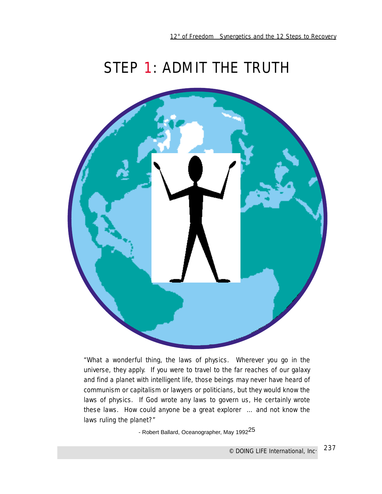## STEP 1: ADMIT THE TRUTH



*"What a wonderful thing, the laws of physics. Wherever you go in the universe, they apply. If you were to travel to the far reaches of our galaxy and find a planet with intelligent life, those beings may never have heard of communism or capitalism or lawyers or politicians, but they would know the laws of physics. If God wrote any laws to govern us, He certainly wrote these laws. How could anyone be a great explorer … and not know the laws ruling the planet?"*

- Robert Ballard, Oceanographer, May 1992<sup>25</sup>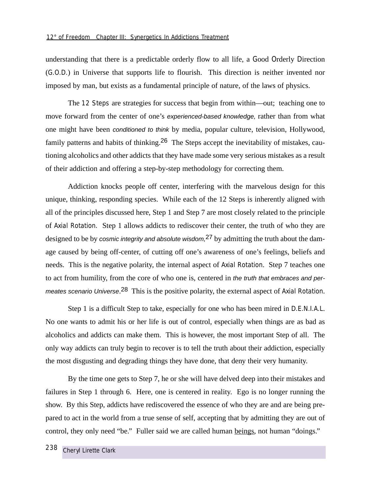understanding that there is a predictable orderly flow to all life, a Good Orderly Direction (G.O.D.) in Universe that supports life to flourish. This direction is neither invented nor imposed by man, but exists as a fundamental principle of nature, of the laws of physics.

The 12 Steps are strategies for success that begin from within—out; teaching one to move forward from the center of one's experienced-based knowledge, rather than from what one might have been conditioned to think by media, popular culture, television, Hollywood, family patterns and habits of thinking.<sup>26</sup> The Steps accept the inevitability of mistakes, cautioning alcoholics and other addicts that they have made some very serious mistakes as a result of their addiction and offering a step-by-step methodology for correcting them.

Addiction knocks people off center, interfering with the marvelous design for this unique, thinking, responding species. While each of the 12 Steps is inherently aligned with all of the principles discussed here, Step 1 and Step 7 are most closely related to the principle of Axial Rotation. Step 1 allows addicts to rediscover their center, the truth of who they are designed to be by cosmic integrity and absolute wisdom,  $27$  by admitting the truth about the damage caused by being off-center, of cutting off one's awareness of one's feelings, beliefs and needs. This is the negative polarity, the internal aspect of Axial Rotation. Step 7 teaches one to act from humility, from the core of who one is, centered in the truth that embraces and permeates scenario Universe.<sup>28</sup> This is the positive polarity, the external aspect of Axial Rotation.

Step 1 is a difficult Step to take, especially for one who has been mired in D.E.N.I.A.L. No one wants to admit his or her life is out of control, especially when things are as bad as alcoholics and addicts can make them. This is however, the most important Step of all. The only way addicts can truly begin to recover is to tell the truth about their addiction, especially the most disgusting and degrading things they have done, that deny their very humanity.

By the time one gets to Step 7, he or she will have delved deep into their mistakes and failures in Step 1 through 6. Here, one is centered in reality. Ego is no longer running the show. By this Step, addicts have rediscovered the essence of who they are and are being prepared to act in the world from a true sense of self, accepting that by admitting they are out of control, they only need "be." Fuller said we are called human beings, not human "doings."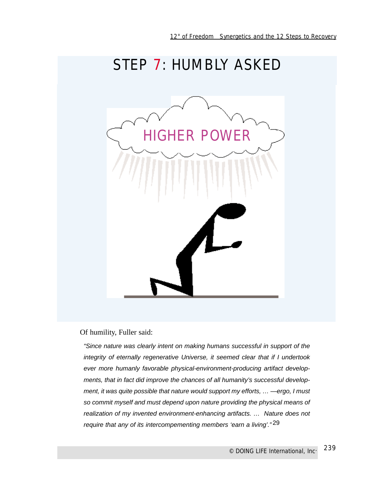

### Of humility, Fuller said:

"Since nature was clearly intent on making humans successful in support of the integrity of eternally regenerative Universe, it seemed clear that if I undertook ever more humanly favorable physical-environment-producing artifact developments, that in fact did improve the chances of all humanity's successful development, it was quite possible that nature would support my efforts, … —ergo, I must so commit myself and must depend upon nature providing the physical means of realization of my invented environment-enhancing artifacts. … Nature does not require that any of its intercompementing members 'earn a living'."29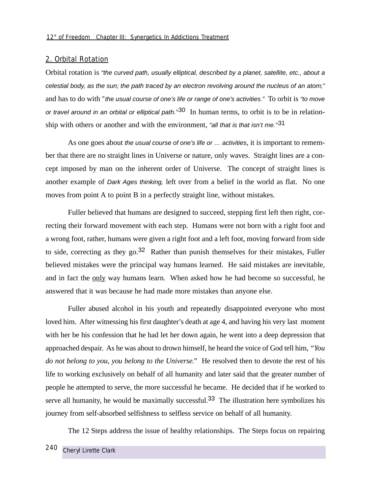### 2. Orbital Rotation

Orbital rotation is "the curved path, usually elliptical, described by a planet, satellite, etc., about a celestial body, as the sun; the path traced by an electron revolving around the nucleus of an atom;" and has to do with *"*the usual course of one's life or range of one's activities." To orbit is "to move or travel around in an orbital or elliptical path.<sup>"30</sup> In human terms, to orbit is to be in relationship with others or another and with the environment, "all that is that isn't me."<sup>31</sup>

As one goes about the usual course of one's life or  $\dots$  activities, it is important to remember that there are no straight lines in Universe or nature, only waves. Straight lines are a concept imposed by man on the inherent order of Universe. The concept of straight lines is another example of Dark Ages thinking, left over from a belief in the world as flat. No one moves from point A to point B in a perfectly straight line, without mistakes.

Fuller believed that humans are designed to succeed, stepping first left then right, correcting their forward movement with each step. Humans were not born with a right foot and a wrong foot, rather, humans were given a right foot and a left foot, moving forward from side to side, correcting as they go.<sup>32</sup> Rather than punish themselves for their mistakes, Fuller believed mistakes were the principal way humans learned. He said mistakes are inevitable, and in fact the only way humans learn. When asked how he had become so successful, he answered that it was because he had made more mistakes than anyone else.

Fuller abused alcohol in his youth and repeatedly disappointed everyone who most loved him. After witnessing his first daughter's death at age 4, and having his very last moment with her be his confession that he had let her down again, he went into a deep depression that approached despair. As he was about to drown himself, he heard the voice of God tell him, *"You do not belong to you, you belong to the Universe."* He resolved then to devote the rest of his life to working exclusively on behalf of all humanity and later said that the greater number of people he attempted to serve, the more successful he became. He decided that if he worked to serve all humanity, he would be maximally successful.<sup>33</sup> The illustration here symbolizes his journey from self-absorbed selfishness to selfless service on behalf of all humanity.

The 12 Steps address the issue of healthy relationships. The Steps focus on repairing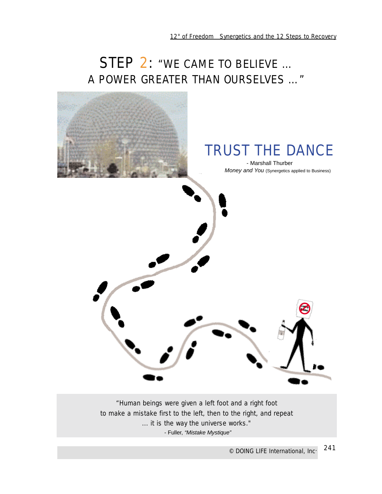## STEP 2: "*WE CAME TO BELIEVE … A POWER GREATER THAN OURSELVES …"*



*to make a mistake first to the left, then to the right, and repeat ... it is the way the universe works."* 

- Fuller, "Mistake Mystique"

241 *© DOING LIFE International, Inc.*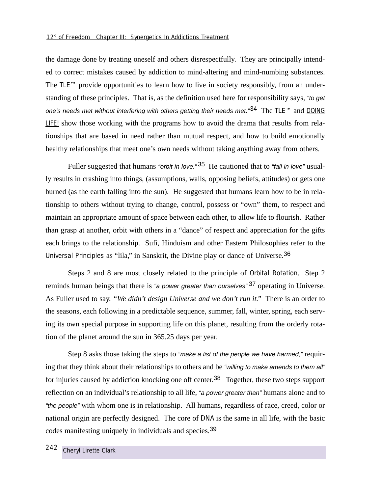the damage done by treating oneself and others disrespectfully. They are principally intended to correct mistakes caused by addiction to mind-altering and mind-numbing substances. The  $\mathsf{TLE}^{\mathsf{TM}}$  provide opportunities to learn how to live in society responsibly, from an understanding of these principles. That is, as the definition used here for responsibility says, "to get one's needs met without interfering with others getting their needs met." $34$  The TLE<sup>TM</sup> and DOING LIFE! show those working with the programs how to avoid the drama that results from relationships that are based in need rather than mutual respect, and how to build emotionally healthy relationships that meet one's own needs without taking anything away from others.

Fuller suggested that humans "orbit in love." 35 He cautioned that to "fall in love" usually results in crashing into things, (assumptions, walls, opposing beliefs, attitudes) or gets one burned (as the earth falling into the sun). He suggested that humans learn how to be in relationship to others without trying to change, control, possess or "own" them, to respect and maintain an appropriate amount of space between each other, to allow life to flourish. Rather than grasp at another, orbit with others in a "dance" of respect and appreciation for the gifts each brings to the relationship. Sufi, Hinduism and other Eastern Philosophies refer to the Universal Principles as "lila," in Sanskrit, the Divine play or dance of Universe.36

Steps 2 and 8 are most closely related to the principle of Orbital Rotation. Step 2 reminds human beings that there is "a power greater than ourselves"<sup>37</sup> operating in Universe. As Fuller used to say, *"We didn't design Universe and we don't run it."* There is an order to the seasons, each following in a predictable sequence, summer, fall, winter, spring, each serving its own special purpose in supporting life on this planet, resulting from the orderly rotation of the planet around the sun in 365.25 days per year.

Step 8 asks those taking the steps to "make a list of the people we have harmed," requiring that they think about their relationships to others and be "willing to make amends to them all" for injuries caused by addiction knocking one off center.<sup>38</sup> Together, these two steps support reflection on an individual's relationship to all life, "a power greater than" humans alone and to "the people" with whom one is in relationship. All humans, regardless of race, creed, color or national origin are perfectly designed. The core of DNA is the same in all life, with the basic codes manifesting uniquely in individuals and species.39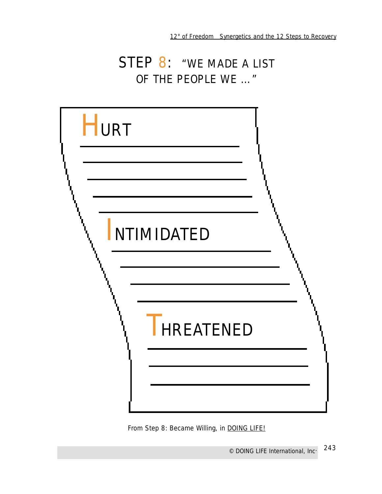### STEP 8: "*WE MADE A LIST OF THE PEOPLE WE …"*

| <b>HURT</b> |                   |  |
|-------------|-------------------|--|
|             |                   |  |
|             | <b>NTIMIDATED</b> |  |
|             |                   |  |
|             | <b>HREATENED</b>  |  |
|             |                   |  |

From Step 8: Became Willing, in **DOING LIFE!**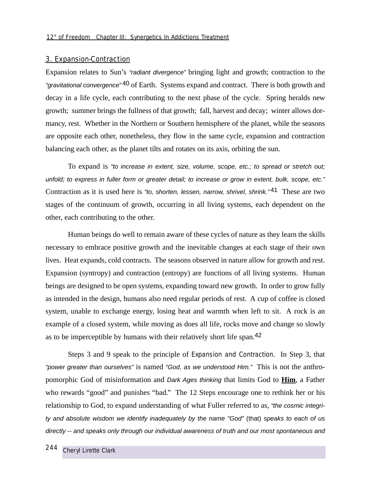### 3. Expansion-Contraction

Expansion relates to Sun's "radiant divergence" bringing light and growth; contraction to the "gravitational convergence"<sup>40</sup> of Earth. Systems expand and contract. There is both growth and decay in a life cycle, each contributing to the next phase of the cycle. Spring heralds new growth; summer brings the fullness of that growth; fall, harvest and decay; winter allows dormancy, rest. Whether in the Northern or Southern hemisphere of the planet, while the seasons are opposite each other, nonetheless, they flow in the same cycle, expansion and contraction balancing each other, as the planet tilts and rotates on its axis, orbiting the sun.

To expand is "to increase in extent, size, volume, scope, etc.; to spread or stretch out; unfold; to express in fuller form or greater detail; to increase or grow in extent, bulk, scope, etc." Contraction as it is used here is "to, shorten, lessen, narrow, shrivel, shrink."<sup>41</sup> These are two stages of the continuum of growth, occurring in all living systems, each dependent on the other, each contributing to the other.

Human beings do well to remain aware of these cycles of nature as they learn the skills necessary to embrace positive growth and the inevitable changes at each stage of their own lives. Heat expands, cold contracts. The seasons observed in nature allow for growth and rest. Expansion (syntropy) and contraction (entropy) are functions of all living systems. Human beings are designed to be open systems, expanding toward new growth. In order to grow fully as intended in the design, humans also need regular periods of rest. A cup of coffee is closed system, unable to exchange energy, losing heat and warmth when left to sit. A rock is an example of a closed system, while moving as does all life, rocks move and change so slowly as to be imperceptible by humans with their relatively short life span.42

Steps 3 and 9 speak to the principle of Expansion and Contraction. In Step 3, that "power greater than ourselves" is named "God, as we understood Him." This is not the anthropomorphic God of misinformation and Dark Ages thinking that limits God to **Him**, a Father who rewards "good" and punishes "bad." The 12 Steps encourage one to rethink her or his relationship to God, to expand understanding of what Fuller referred to as, "the cosmic integrity and absolute wisdom we identify inadequately by the name "God" (that) speaks to each of us directly -- and speaks only through our individual awareness of truth and our most spontaneous and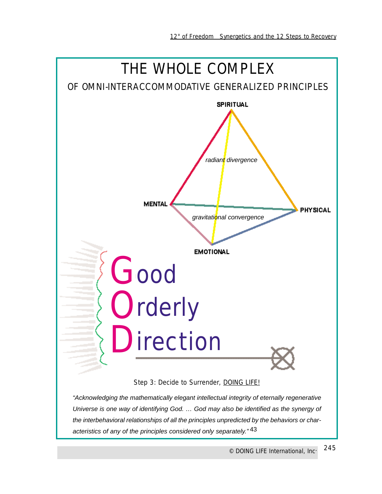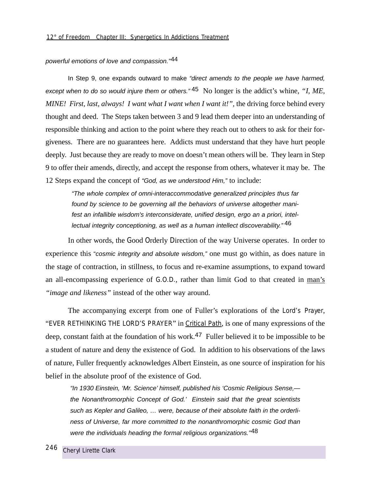powerful emotions of love and compassion."44

In Step 9, one expands outward to make "direct amends to the people we have harmed, except when to do so would injure them or others." 45 No longer is the addict's whine, *"I, ME, MINE! First, last, always! I want what I want when I want it!",* the driving force behind every thought and deed. The Steps taken between 3 and 9 lead them deeper into an understanding of responsible thinking and action to the point where they reach out to others to ask for their forgiveness. There are no guarantees here. Addicts must understand that they have hurt people deeply. Just because they are ready to move on doesn't mean others will be. They learn in Step 9 to offer their amends, directly, and accept the response from others, whatever it may be. The 12 Steps expand the concept of "God, as we understood Him," to include:

"The whole complex of omni-interaccommodative generalized principles thus far found by science to be governing all the behaviors of universe altogether manifest an infallible wisdom's interconsiderate, unified design, ergo an a priori, intellectual integrity conceptioning, as well as a human intellect discoverability."<sup>46</sup>

In other words, the Good Orderly Direction of the way Universe operates. In order to experience this "cosmic integrity and absolute wisdom," one must go within, as does nature in the stage of contraction, in stillness, to focus and re-examine assumptions, to expand toward an all-encompassing experience of G.O.D., rather than limit God to that created in man's *"image and likeness"* instead of the other way around.

The accompanying excerpt from one of Fuller's explorations of the Lord's Prayer, "EVER RETHINKING THE LORD'S PRAYER" in Critical Path, is one of many expressions of the deep, constant faith at the foundation of his work.<sup>47</sup> Fuller believed it to be impossible to be a student of nature and deny the existence of God. In addition to his observations of the laws of nature, Fuller frequently acknowledges Albert Einstein, as one source of inspiration for his belief in the absolute proof of the existence of God.

"In 1930 Einstein, 'Mr. Science' himself, published his 'Cosmic Religious Sense, the Nonanthromorphic Concept of God.' Einstein said that the great scientists such as Kepler and Galileo, … were, because of their absolute faith in the orderliness of Universe, far more committed to the nonanthromorphic cosmic God than were the individuals heading the formal religious organizations."<sup>48</sup>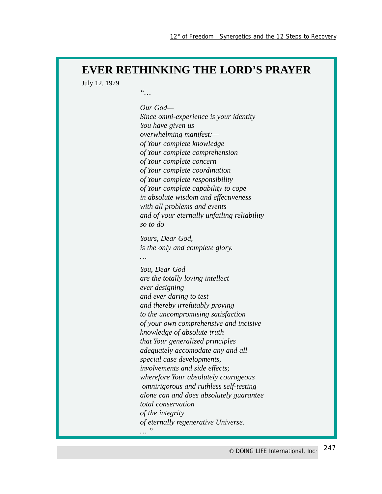### **EVER RETHINKING THE LORD'S PRAYER**

July 12, 1979

*"… Our God— Since omni-experience is your identity You have given us overwhelming manifest: of Your complete knowledge of Your complete comprehension of Your complete concern of Your complete coordination of Your complete responsibility of Your complete capability to cope in absolute wisdom and effectiveness with all problems and events and of your eternally unfailing reliability so to do Yours, Dear God, is the only and complete glory. … You, Dear God are the totally loving intellect ever designing and ever daring to test and thereby irrefutably proving to the uncompromising satisfaction of your own comprehensive and incisive knowledge of absolute truth that Your generalized principles adequately accomodate any and all special case developments, involvements and side effects; wherefore Your absolutely courageous omnirigorous and ruthless self-testing alone can and does absolutely guarantee total conservation of the integrity of eternally regenerative Universe. … "*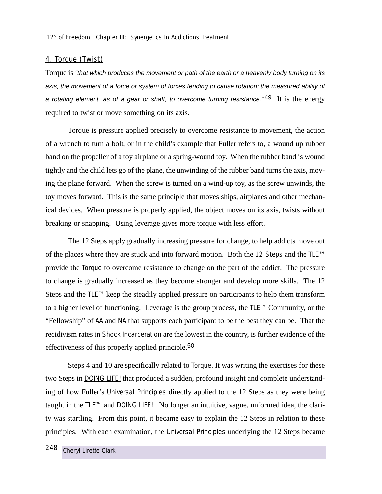### 4. Torque (Twist)

Torque is "that which produces the movement or path of the earth or a heavenly body turning on its axis; the movement of a force or system of forces tending to cause rotation; the measured ability of a rotating element, as of a gear or shaft, to overcome turning resistance."<sup>49</sup> It is the energy required to twist or move something on its axis.

Torque is pressure applied precisely to overcome resistance to movement, the action of a wrench to turn a bolt, or in the child's example that Fuller refers to, a wound up rubber band on the propeller of a toy airplane or a spring-wound toy. When the rubber band is wound tightly and the child lets go of the plane, the unwinding of the rubber band turns the axis, moving the plane forward. When the screw is turned on a wind-up toy, as the screw unwinds, the toy moves forward. This is the same principle that moves ships, airplanes and other mechanical devices. When pressure is properly applied, the object moves on its axis, twists without breaking or snapping. Using leverage gives more torque with less effort.

The 12 Steps apply gradually increasing pressure for change, to help addicts move out of the places where they are stuck and into forward motion. Both the 12 Steps and the TLE™ provide the Torque to overcome resistance to change on the part of the addict. The pressure to change is gradually increased as they become stronger and develop more skills. The 12 Steps and the TLE™ keep the steadily applied pressure on participants to help them transform to a higher level of functioning. Leverage is the group process, the TLE™ Community, or the "Fellowship" of AA and NA that supports each participant to be the best they can be. That the recidivism rates in Shock Incarceration are the lowest in the country, is further evidence of the effectiveness of this properly applied principle.<sup>50</sup>

Steps 4 and 10 are specifically related to Torque. It was writing the exercises for these two Steps in **DOING LIFE!** that produced a sudden, profound insight and complete understanding of how Fuller's Universal Principles directly applied to the 12 Steps as they were being taught in the TLE™ and DOING LIFE!. No longer an intuitive, vague, unformed idea, the clarity was startling. From this point, it became easy to explain the 12 Steps in relation to these principles. With each examination, the Universal Principles underlying the 12 Steps became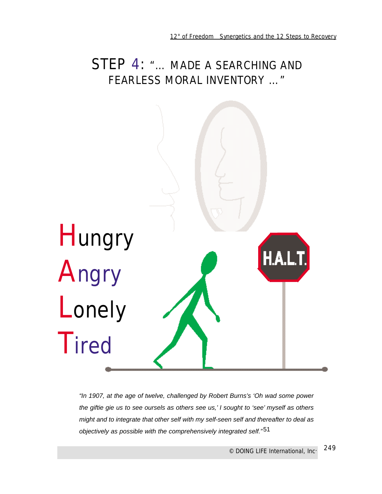### STEP 4: *"… MADE A SEARCHING AND FEARLESS MORAL INVENTORY …"*



"In 1907, at the age of twelve, challenged by Robert Burns's 'Oh wad some power the giftie gie us to see oursels as others see us,' I sought to 'see' myself as others might and to integrate that other self with my self-seen self and thereafter to deal as objectively as possible with the comprehensively integrated self."51

> 249 *© DOING LIFE International, Inc.*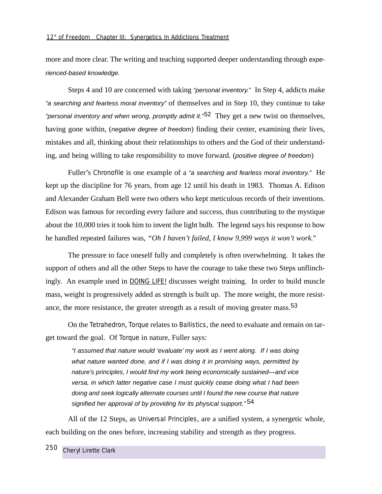more and more clear. The writing and teaching supported deeper understanding through experienced-based knowledge.

Steps 4 and 10 are concerned with taking "personal inventory." In Step 4, addicts make "a searching and fearless moral inventory" of themselves and in Step 10, they continue to take "personal inventory and when wrong, promptly admit it."<sup>52</sup> They get a new twist on themselves, having gone within, *(negative degree of freedom)* finding their center, examining their lives, mistakes and all, thinking about their relationships to others and the God of their understanding, and being willing to take responsibility to move forward. (positive degree of freedom)

Fuller's *Chronofile* is one example of a "a searching and fearless moral inventory." He kept up the discipline for 76 years, from age 12 until his death in 1983. Thomas A. Edison and Alexander Graham Bell were two others who kept meticulous records of their inventions. Edison was famous for recording every failure and success, thus contributing to the mystique about the 10,000 tries it took him to invent the light bulb. The legend says his response to how he handled repeated failures was, *"Oh I haven't failed, I know 9,999 ways it won't work."*

The pressure to face oneself fully and completely is often overwhelming. It takes the support of others and all the other Steps to have the courage to take these two Steps unflinchingly. An example used in DOING LIFE! discusses weight training. In order to build muscle mass, weight is progressively added as strength is built up. The more weight, the more resistance, the more resistance, the greater strength as a result of moving greater mass.53

On the Tetrahedron, Torque relates to Ballistics, the need to evaluate and remain on target toward the goal. Of Torque in nature, Fuller says:

"I assumed that nature would 'evaluate' my work as I went along. If I was doing what nature wanted done, and if I was doing it in promising ways, permitted by nature's principles, I would find my work being economically sustained—and vice versa, in which latter negative case I must quickly cease doing what I had been doing and seek logically alternate courses until I found the new course that nature signified her approval of by providing for its physical support."<sup>54</sup>

All of the 12 Steps, as Universal Principles, are a unified system, a synergetic whole, each building on the ones before, increasing stability and strength as they progress.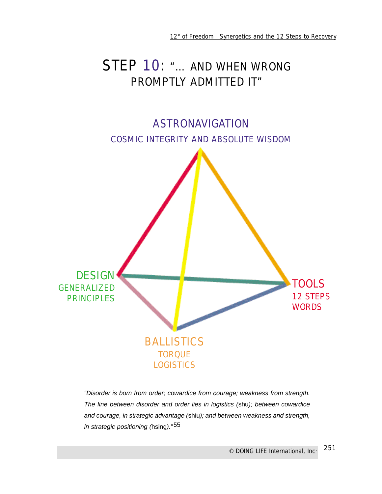## STEP 10: *"… AND WHEN WRONG PROMPTLY ADMITTED IT"*



"Disorder is born from order; cowardice from courage; weakness from strength. The line between disorder and order lies in logistics (shu); between cowardice and courage, in strategic advantage (shiu); and between weakness and strength, in strategic positioning (hsing)."55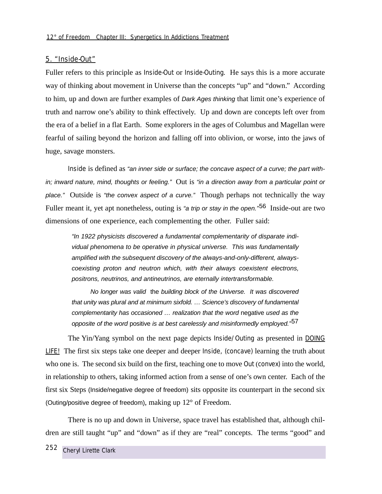#### 5. "Inside-Out"

Fuller refers to this principle as Inside-Out or Inside-Outing. He says this is a more accurate way of thinking about movement in Universe than the concepts "up" and "down." According to him, up and down are further examples of Dark Ages thinking that limit one's experience of truth and narrow one's ability to think effectively. Up and down are concepts left over from the era of a belief in a flat Earth. Some explorers in the ages of Columbus and Magellan were fearful of sailing beyond the horizon and falling off into oblivion, or worse, into the jaws of huge, savage monsters.

Inside is defined as "an inner side or surface; the concave aspect of a curve; the part within; inward nature, mind, thoughts or feeling." Out is "in a direction away from a particular point or place." Outside is "the convex aspect of a curve." Though perhaps not technically the way Fuller meant it, yet apt nonetheless, outing is "a trip or stay in the open."<sup>56</sup> Inside-out are two dimensions of one experience, each complementing the other. Fuller said:

"In 1922 physicists discovered a fundamental complementarity of disparate individual phenomena to be operative in physical universe. This was fundamentally amplified with the subsequent discovery of the always-and-only-different, alwayscoexisting proton and neutron which, with their always coexistent electrons, positrons, neutrinos, and antineutrinos, are eternally intertransformable.

No longer was valid the building block of the Universe. It was discovered that unity was plural and at minimum sixfold. … Science's discovery of fundamental complementarity has occasioned … realization that the word negative used as the opposite of the word positive is at best carelessly and misinformedly employed."<sup>57</sup>

The Yin/Yang symbol on the next page depicts Inside/Outing as presented in DOING LIFE! The first six steps take one deeper and deeper Inside, (concave) learning the truth about who one is. The second six build on the first, teaching one to move Out (convex) into the world, in relationship to others, taking informed action from a sense of one's own center. Each of the first six Steps (Inside/negative degree of freedom) sits opposite its counterpart in the second six (Outing/positive degree of freedom), making up 12° of Freedom.

There is no up and down in Universe, space travel has established that, although children are still taught "up" and "down" as if they are "real" concepts. The terms "good" and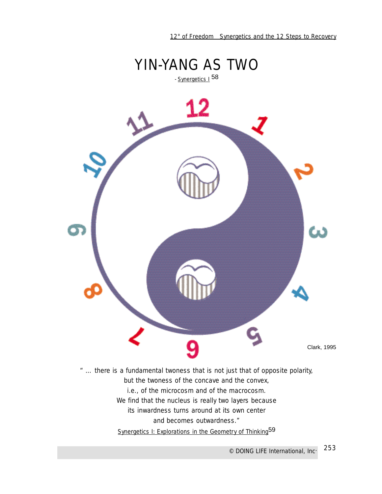

*" … there is a fundamental twoness that is not just that of opposite polarity, but the twoness of the concave and the convex, i.e., of the microcosm and of the macrocosm. We find that the nucleus is really two layers because its inwardness turns around at its own center and becomes outwardness."* Synergetics I: Explorations in the Geometry of Thinking<sup>59</sup>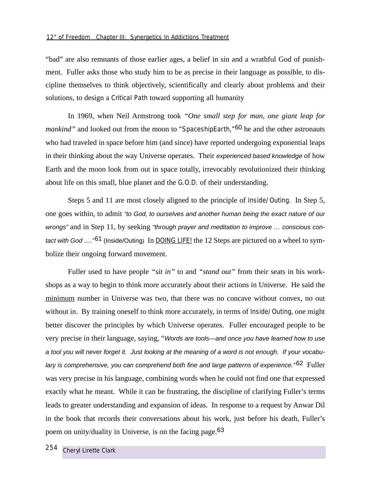"bad" are also remnants of those earlier ages, a belief in sin and a wrathful God of punishment. Fuller asks those who study him to be as precise in their language as possible, to discipline themselves to think objectively, scientifically and clearly about problems and their solutions, to design a Critical Path toward supporting all humanity

In 1969, when Neil Armstrong took *"One small step for man, one giant leap for mankind"* and looked out from the moon to *"SpaceshipEarth,"*60 he and the other astronauts who had traveled in space before him (and since) have reported undergoing exponential leaps in their thinking about the way Universe operates. Their experienced based knowledge of how Earth and the moon look from out in space totally, irrevocably revolutionized their thinking about life on this small, blue planet and the G.O.D. of their understanding.

Steps 5 and 11 are most closely aligned to the principle of Inside/Outing. In Step 5, one goes within, to admit "to God, to ourselves and another human being the exact nature of our wrongs" and in Step 11, by seeking "through prayer and meditation to improve ... conscious contact with God  $\ldots$ <sup>"61</sup> (Inside/Outing) In DOING LIFE! the 12 Steps are pictured on a wheel to symbolize their ongoing forward movement.

Fuller used to have people *"sit in"* to and *"stand out"* from their seats in his workshops as a way to begin to think more accurately about their actions in Universe. He said the minimum number in Universe was two, that there was no concave without convex, no out without in. By training oneself to think more accurately, in terms of Inside/Outing, one might better discover the principles by which Universe operates. Fuller encouraged people to be very precise in their language, saying, "Words are tools—and once you have learned how to use a tool you will never forget it. Just looking at the meaning of a word is not enough. If your vocabulary is comprehensive, you can comprehend both fine and large patterns of experience."<sup>62</sup> Fuller was very precise in his language, combining words when he could not find one that expressed exactly what he meant. While it can be frustrating, the discipline of clarifying Fuller's terms leads to greater understanding and expansion of ideas. In response to a request by Anwar Dil in the book that records their conversations about his work, just before his death, Fuller's poem on unity/duality in Universe, is on the facing page.<sup>63</sup>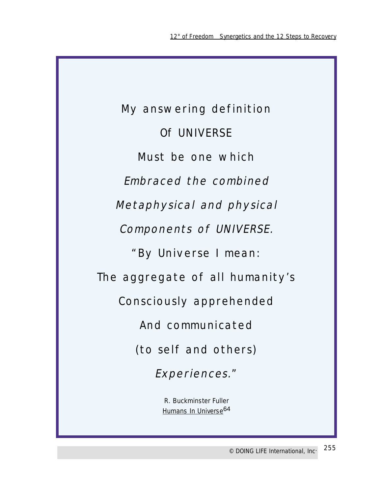My answering definition Of UNIVERSE Must be one which Embraced the combined Metaphysical and physical Components of UNIVERSE. "By Universe I mean: The aggregate of all humanity's Consciously apprehended And communicated (to self and others) Experiences."

R. Buckminster Fuller Humans In Universe<sup>64</sup>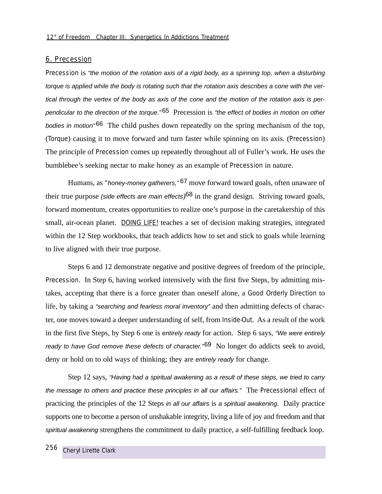#### 6. Precession

Precession is "the motion of the rotation axis of a rigid body, as a spinning top, when a disturbing torque is applied while the body is rotating such that the rotation axis describes a cone with the vertical through the vertex of the body as axis of the cone and the motion of the rotation axis is perpendicular to the direction of the torque.<sup>"65</sup> Precession is "the effect of bodies in motion on other bodies in motion<sup> $n^6$ 6</sup> The child pushes down repeatedly on the spring mechanism of the top, (Torque) causing it to move forward and turn faster while spinning on its axis. (Precession) The principle of Precession comes up repeatedly throughout all of Fuller's work. He uses the bumblebee's seeking nectar to make honey as an example of Precession in nature.

Humans, as *"*honey-money gatherers," 67 move forward toward goals, often unaware of their true purpose (side effects are main effects*)*68 in the grand design. Striving toward goals, forward momentum, creates opportunities to realize one's purpose in the caretakership of this small, air-ocean planet. DOING LIFE! teaches a set of decision making strategies, integrated within the 12 Step workbooks, that teach addicts how to set and stick to goals while learning to live aligned with their true purpose.

Steps 6 and 12 demonstrate negative and positive degrees of freedom of the principle, Precession. In Step 6, having worked intensively with the first five Steps, by admitting mistakes, accepting that there is a force greater than oneself alone, a Good Orderly Direction to life, by taking a "searching and fearless moral inventory" and then admitting defects of character, one moves toward a deeper understanding of self, from Inside-Out. As a result of the work in the first five Steps, by Step 6 one is entirely ready for action. Step 6 says, "We were entirely ready to have God remove these defects of character.<sup>"69</sup> No longer do addicts seek to avoid, deny or hold on to old ways of thinking; they are *entirely ready* for change.

Step 12 says, "Having had a spiritual awakening as a result of these steps, we tried to carry the message to others and practice these principles in all our affairs." The Precessional effect of practicing the principles of the 12 Steps in all our affairs is a spiritual awakening*.* Daily practice supports one to become a person of unshakable integrity, living a life of joy and freedom and that spiritual awakening strengthens the commitment to daily practice, a self-fulfilling feedback loop.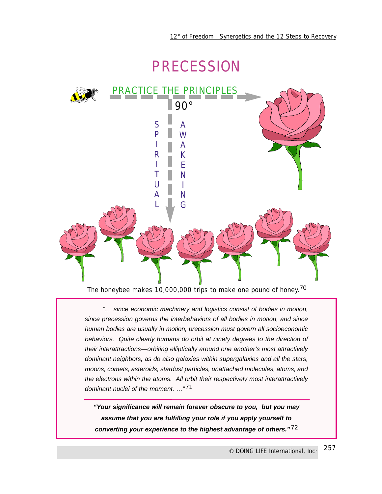## PRECESSION



The honeybee makes 10,000,000 trips to make one pound of honey.<sup>70</sup>

"… since economic machinery and logistics consist of bodies in motion, since precession governs the interbehaviors of all bodies in motion, and since human bodies are usually in motion, precession must govern all socioeconomic behaviors. Quite clearly humans do orbit at ninety degrees to the direction of their interattractions—orbiting elliptically around one another's most attractively dominant neighbors, as do also galaxies within supergalaxies and all the stars, moons, comets, asteroids, stardust particles, unattached molecules, atoms, and the electrons within the atoms. All orbit their respectively most interattractively dominant nuclei of the moment. …"71

**"Your significance will remain forever obscure to you, but you may assume that you are fulfilling your role if you apply yourself to converting your experience to the highest advantage of others."** 72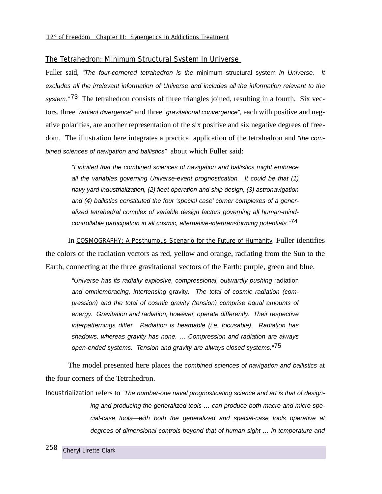## The Tetrahedron: Minimum Structural System In Universe

Fuller said. "The four-cornered tetrahedron is the minimum structural system in Universe. It excludes all the irrelevant information of Universe and includes all the information relevant to the system."<sup>73</sup> The tetrahedron consists of three triangles joined, resulting in a fourth. Six vectors, three "radiant divergence" and three "gravitational convergence", each with positive and negative polarities, are another representation of the six positive and six negative degrees of freedom. The illustration here integrates a practical application of the tetrahedron and "the combined sciences of navigation and ballistics" about which Fuller said:

"I intuited that the combined sciences of navigation and ballistics might embrace all the variables governing Universe-event prognostication. It could be that (1) navy yard industrialization, (2) fleet operation and ship design, (3) astronavigation and (4) ballistics constituted the four 'special case' corner complexes of a generalized tetrahedral complex of variable design factors governing all human-mindcontrollable participation in all cosmic, alternative-intertransforming potentials."<sup>74</sup>

In COSMOGRAPHY: *A Posthumous Scenario for the Future of Humanity*, Fuller identifies the colors of the radiation vectors as red, yellow and orange, radiating from the Sun to the Earth, connecting at the three gravitational vectors of the Earth: purple, green and blue.

"Universe has its radially explosive, compressional, outwardly pushing radiation and omniembracing, intertensing gravity. The total of cosmic radiation (compression) and the total of cosmic gravity (tension) comprise equal amounts of energy. Gravitation and radiation, however, operate differently. Their respective interpatternings differ. Radiation is beamable (i.e. focusable). Radiation has shadows, whereas gravity has none. … Compression and radiation are always open-ended systems. Tension and gravity are always closed systems."<sup>75</sup>

The model presented here places the combined sciences of navigation and ballistics at the four corners of the Tetrahedron.

Industrialization refers to "The number-one naval prognosticating science and art is that of designing and producing the generalized tools … can produce both macro and micro special-case tools—with both the generalized and special-case tools operative at degrees of dimensional controls beyond that of human sight … in temperature and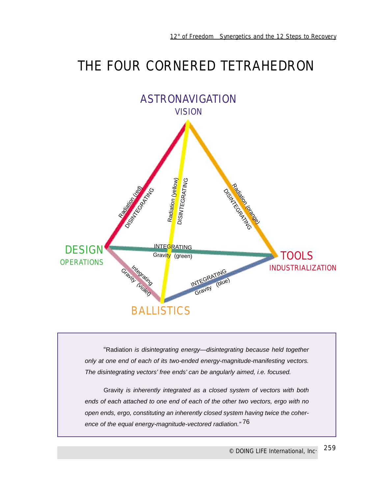## THE FOUR CORNERED TETRAHEDRON



"Radiation is disintegrating energy—disintegrating because held together only at one end of each of its two-ended energy-magnitude-manifesting vectors. The disintegrating vectors' free ends' can be angularly aimed, i.e. focused.

Gravity is inherently integrated as a closed system of vectors with both ends of each attached to one end of each of the other two vectors, ergo with no open ends, ergo, constituting an inherently closed system having twice the coherence of the equal energy-magnitude-vectored radiation." 76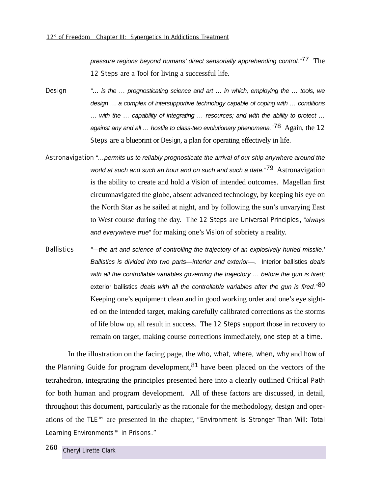pressure regions beyond humans' direct sensorially apprehending control."<sup>77</sup> The 12 Steps are a Tool for living a successful life.

- Design "… is the … prognosticating science and art … in which, employing the … tools, we design … a complex of intersupportive technology capable of coping with … conditions … with the … capability of integrating … resources; and with the ability to protect … against any and all  $\ldots$  hostile to class-two evolutionary phenomena."<sup>78</sup> Again, the 12 Steps are a blueprint or Design, a plan for operating effectively in life.
- Astronavigation "…permits us to reliably prognosticate the arrival of our ship anywhere around the world at such and such an hour and on such and such a date."<sup>79</sup> Astronavigation is the ability to create and hold a Vision of intended outcomes. Magellan first circumnavigated the globe, absent advanced technology, by keeping his eye on the North Star as he sailed at night, and by following the sun's unvarying East to West course during the day. The 12 Steps are Universal Principles, "always and everywhere true" for making one's Vision of sobriety a reality.
- Ballistics "—the art and science of controlling the trajectory of an explosively hurled missile.' Ballistics is divided into two parts—interior and exterior—. Interior ballistics deals with all the controllable variables governing the trajectory ... before the gun is fired; exterior ballistics deals with all the controllable variables after the gun is fired." $80$ Keeping one's equipment clean and in good working order and one's eye sighted on the intended target, making carefully calibrated corrections as the storms of life blow up, all result in success. The 12 Steps support those in recovery to remain on target, making course corrections immediately, one step at a time.

In the illustration on the facing page, the who, what, where, when, why and how of the *Planning Guide* for program development,81 have been placed on the vectors of the tetrahedron, integrating the principles presented here into a clearly outlined Critical Path for both human and program development. All of these factors are discussed, in detail, throughout this document, particularly as the rationale for the methodology, design and operations of the TLE™ are presented in the chapter, *"Environment Is Stronger Than Will: Total Learning Environments*™ *in Prisons."*

260 *Cheryl Lirette Clark*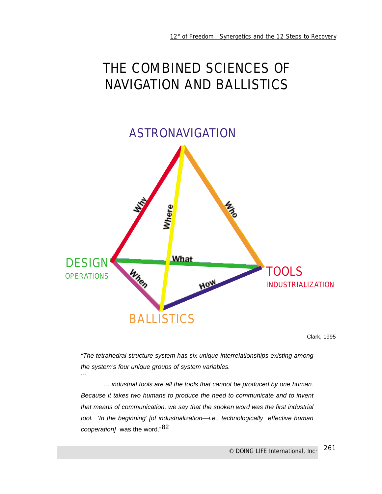# THE COMBINED SCIENCES OF NAVIGATION AND BALLISTICS



Clark, 1995

"The tetrahedral structure system has six unique interrelationships existing among the system's four unique groups of system variables.

… industrial tools are all the tools that cannot be produced by one human. Because it takes two humans to produce the need to communicate and to invent that means of communication, we say that the spoken word was the first industrial tool. 'In the beginning' [of industrialization—i.e., technologically effective human cooperation] was the word."82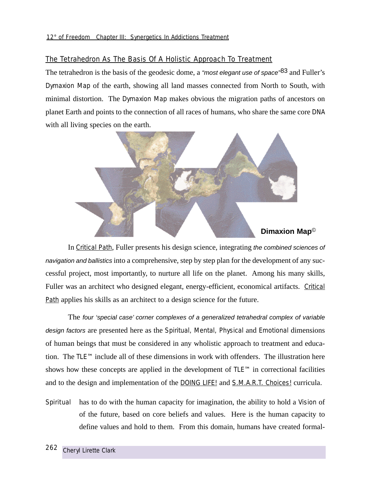## The Tetrahedron As The Basis Of A Holistic Approach To Treatment

The tetrahedron is the basis of the geodesic dome, a "most elegant use of space"<sup>83</sup> and Fuller's Dymaxion Map of the earth, showing all land masses connected from North to South, with minimal distortion. The Dymaxion Map makes obvious the migration paths of ancestors on planet Earth and points to the connection of all races of humans, who share the same core DNA with all living species on the earth.



In Critical Path, Fuller presents his design science, integrating the combined sciences of navigation and ballistics into a comprehensive, step by step plan for the development of any successful project, most importantly, to nurture all life on the planet. Among his many skills, Fuller was an architect who designed elegant, energy-efficient, economical artifacts. Critical Path applies his skills as an architect to a design science for the future.

The four 'special case' corner complexes of a generalized tetrahedral complex of variable design factors are presented here as the Spiritual, Mental, Physical and Emotional dimensions of human beings that must be considered in any wholistic approach to treatment and education. The TLE™ include all of these dimensions in work with offenders. The illustration here shows how these concepts are applied in the development of TLE™ in correctional facilities and to the design and implementation of the **DOING LIFE!** and **S.M.A.R.T.** Choices! curricula.

Spiritual has to do with the human capacity for imagination, the ability to hold a Vision of of the future, based on core beliefs and values. Here is the human capacity to define values and hold to them. From this domain, humans have created formal-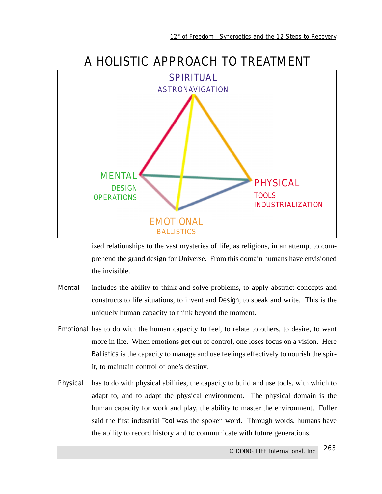

ized relationships to the vast mysteries of life, as religions, in an attempt to comprehend the grand design for Universe. From this domain humans have envisioned the invisible.

- Mental includes the ability to think and solve problems, to apply abstract concepts and constructs to life situations, to invent and Design, to speak and write. This is the uniquely human capacity to think beyond the moment.
- Emotional has to do with the human capacity to feel, to relate to others, to desire, to want more in life. When emotions get out of control, one loses focus on a vision. Here Ballistics is the capacity to manage and use feelings effectively to nourish the spirit, to maintain control of one's destiny.
- Physical has to do with physical abilities, the capacity to build and use tools, with which to adapt to, and to adapt the physical environment. The physical domain is the human capacity for work and play, the ability to master the environment. Fuller said the first industrial Tool was the spoken word. Through words, humans have the ability to record history and to communicate with future generations.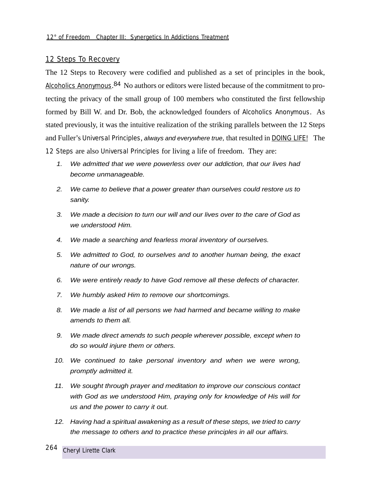## 12 Steps To Recovery

The 12 Steps to Recovery were codified and published as a set of principles in the book, Alcoholics Anonymous.<sup>84</sup> No authors or editors were listed because of the commitment to protecting the privacy of the small group of 100 members who constituted the first fellowship formed by Bill W. and Dr. Bob, the acknowledged founders of Alcoholics Anonymous. As stated previously, it was the intuitive realization of the striking parallels between the 12 Steps and Fuller's Universal Principles, always and everywhere true*,* that resulted in DOING LIFE! The 12 Steps are also Universal Principles for living a life of freedom. They are:

- 1. We admitted that we were powerless over our addiction, that our lives had become unmanageable.
- 2. We came to believe that a power greater than ourselves could restore us to sanity.
- 3. We made a decision to turn our will and our lives over to the care of God as we understood Him.
- 4. We made a searching and fearless moral inventory of ourselves.
- 5. We admitted to God, to ourselves and to another human being, the exact nature of our wrongs.
- 6. We were entirely ready to have God remove all these defects of character.
- 7. We humbly asked Him to remove our shortcomings.
- 8. We made a list of all persons we had harmed and became willing to make amends to them all.
- 9. We made direct amends to such people wherever possible, except when to do so would injure them or others.
- 10. We continued to take personal inventory and when we were wrong, promptly admitted it.
- 11. We sought through prayer and meditation to improve our conscious contact with God as we understood Him, praying only for knowledge of His will for us and the power to carry it out.
- 12. Having had a spiritual awakening as a result of these steps, we tried to carry the message to others and to practice these principles in all our affairs.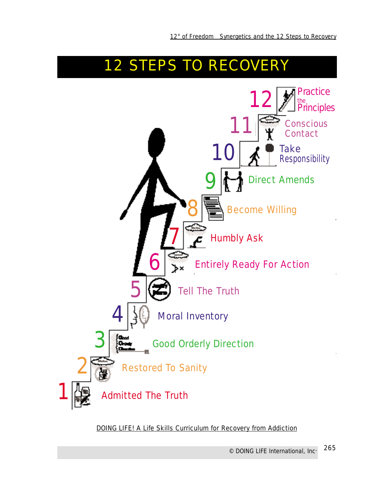

DOING LIFE! A Life Skills Curriculum for Recovery from Addiction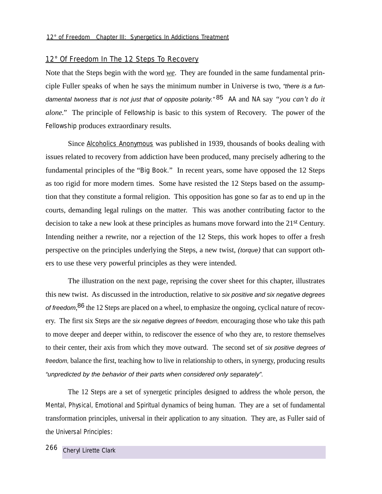## 12° Of Freedom In The 12 Steps To Recovery

Note that the Steps begin with the word *we*. They are founded in the same fundamental principle Fuller speaks of when he says the minimum number in Universe is two, "there is a fundamental twoness that is not just that of opposite polarity." 85 AA and NA say *"you can't do it alone."* The principle of Fellowship is basic to this system of Recovery. The power of the Fellowship produces extraordinary results.

Since Alcoholics Anonymous was published in 1939, thousands of books dealing with issues related to recovery from addiction have been produced, many precisely adhering to the fundamental principles of the "Big Book." In recent years, some have opposed the 12 Steps as too rigid for more modern times. Some have resisted the 12 Steps based on the assumption that they constitute a formal religion. This opposition has gone so far as to end up in the courts, demanding legal rulings on the matter. This was another contributing factor to the decision to take a new look at these principles as humans move forward into the 21st Century. Intending neither a rewrite, nor a rejection of the 12 Steps, this work hopes to offer a fresh perspective on the principles underlying the Steps, a new twist, *(*torque*)* that can support others to use these very powerful principles as they were intended.

The illustration on the next page, reprising the cover sheet for this chapter, illustrates this new twist. As discussed in the introduction, relative to six positive and six negative degrees of freedom, <sup>86</sup> the 12 Steps are placed on a wheel, to emphasize the ongoing, cyclical nature of recovery. The first six Steps are the *six negative degrees of freedom*, encouraging those who take this path to move deeper and deeper within, to rediscover the essence of who they are, to restore themselves to their center, their axis from which they move outward. The second set of six positive degrees of freedom, balance the first, teaching how to live in relationship to others, in synergy, producing results "unpredicted by the behavior of their parts when considered only separately".

The 12 Steps are a set of synergetic principles designed to address the whole person, the Mental, Physical, Emotional and Spiritual dynamics of being human. They are a set of fundamental transformation principles, universal in their application to any situation. They are, as Fuller said of the Universal Principles: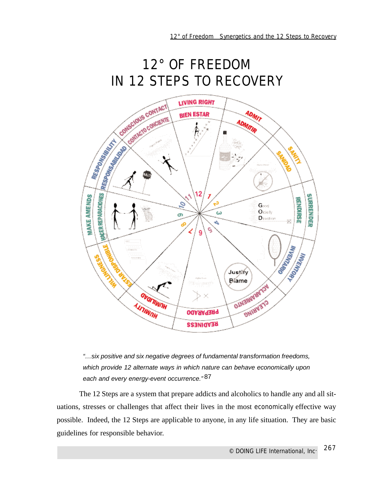## 12° OF FREEDOM IN 12 STEPS TO RECOVERY





The 12 Steps are a system that prepare addicts and alcoholics to handle any and all situations, stresses or challenges that affect their lives in the most *economically* effective way possible. Indeed, the 12 Steps are applicable to anyone, in any life situation. They are basic guidelines for responsible behavior.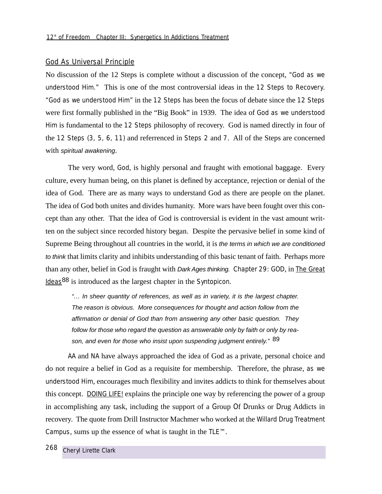## God As Universal Principle

No discussion of the 12 Steps is complete without a discussion of the concept, *"God as we understood Him."* This is one of the most controversial ideas in the 12 Steps to Recovery. *"God as we understood Him"* in the 12 Steps has been the focus of debate since the 12 Steps were first formally published in the "Big Book" in 1939. The idea of *God as we understood Him* is fundamental to the 12 Steps philosophy of recovery. God is named directly in four of the 12 Steps (3, 5, 6, 11) and referrenced in Steps 2 and 7. All of the Steps are concerned with spiritual awakening.

The very word, *God*, is highly personal and fraught with emotional baggage. Every culture, every human being, on this planet is defined by acceptance, rejection or denial of the idea of God. There are as many ways to understand God as there are people on the planet. The idea of God both unites and divides humanity. More wars have been fought over this concept than any other. That the idea of God is controversial is evident in the vast amount written on the subject since recorded history began. Despite the pervasive belief in some kind of Supreme Being throughout all countries in the world, it is the terms in which we are conditioned to think that limits clarity and inhibits understanding of this basic tenant of faith. Perhaps more than any other, belief in God is fraught with Dark Ages thinking. Chapter 29: GOD, in The Great Ideas88 is introduced as the largest chapter in the Syntopicon.

"… In sheer quantity of references, as well as in variety, it is the largest chapter. The reason is obvious. More consequences for thought and action follow from the affirmation or denial of God than from answering any other basic question. They follow for those who regard the question as answerable only by faith or only by reason, and even for those who insist upon suspending judgment entirely." 89

AA and NA have always approached the idea of God as a private, personal choice and do not require a belief in God as a requisite for membership. Therefore, the phrase, *as we understood Him*, encourages much flexibility and invites addicts to think for themselves about this concept. DOING LIFE! explains the principle one way by referencing the power of a group in accomplishing any task, including the support of a Group Of Drunks or Drug Addicts in recovery. The quote from Drill Instructor Machmer who worked at the Willard Drug Treatment Campus, sums up the essence of what is taught in the TLE™.

268 *Cheryl Lirette Clark*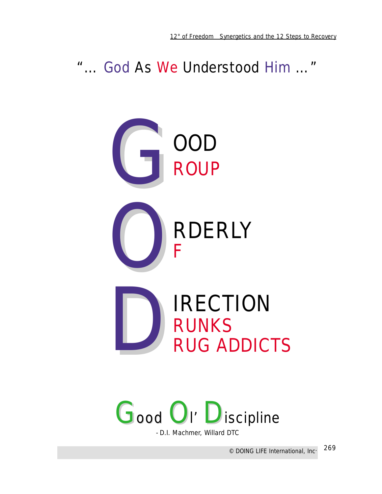*"… God As We Understood Him …"* 





- D.I. Machmer, Willard DTC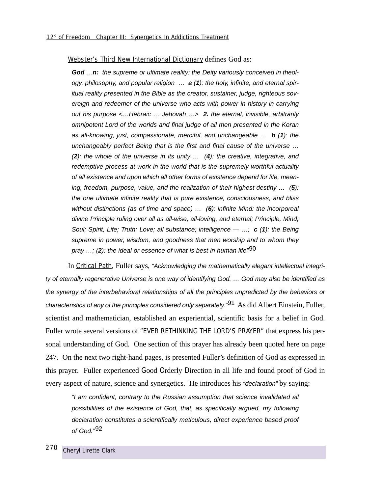Webster's Third New International Dictionary defines God as:

**God** …**n:** the supreme or ultimate reality: the Deity variously conceived in theology, philosophy, and popular religion … **a** (**1**): the holy, infinite, and eternal spiritual reality presented in the Bible as the creator, sustainer, judge, righteous sovereign and redeemer of the universe who acts with power in history in carrying out his purpose <…Hebraic … Jehovah …> **2.** the eternal, invisible, arbitrarily omnipotent Lord of the worlds and final judge of all men presented in the Koran as all-knowing, just, compassionate, merciful, and unchangeable … **b** (**1**): the unchangeably perfect Being that is the first and final cause of the universe … (**2**): the whole of the universe in its unity … (**4**): the creative, integrative, and redemptive process at work in the world that is the supremely worthful actuality of all existence and upon which all other forms of existence depend for life, meaning, freedom, purpose, value, and the realization of their highest destiny … (**5**): the one ultimate infinite reality that is pure existence, consciousness, and bliss without distinctions (as of time and space) … (**6**): infinite Mind: the incorporeal divine Principle ruling over all as all-wise, all-loving, and eternal; Principle, Mind; Soul; Spirit, Life; Truth; Love; all substance; intelligence — …; **c** (**1**): the Being supreme in power, wisdom, and goodness that men worship and to whom they pray …; (**2**): the ideal or essence of what is best in human life"90

In Critical Path, Fuller says, "Acknowledging the mathematically elegant intellectual integrity of eternally regenerative Universe is one way of identifying God. … God may also be identified as the synergy of the interbehavioral relationships of all the principles unpredicted by the behaviors or characteristics of any of the principles considered only separately."<sup>91</sup> As did Albert Einstein, Fuller, scientist and mathematician, established an experiential, scientific basis for a belief in God. Fuller wrote several versions of "EVER RETHINKING THE LORD'S PRAYER" that express his personal understanding of God. One section of this prayer has already been quoted here on page 247. On the next two right-hand pages, is presented Fuller's definition of God as expressed in this prayer. Fuller experienced Good Orderly Direction in all life and found proof of God in every aspect of nature, science and synergetics. He introduces his "declaration" by saying:

"I am confident, contrary to the Russian assumption that science invalidated all possibilities of the existence of God, that, as specifically argued, my following declaration constitutes a scientifically meticulous, direct experience based proof of God."92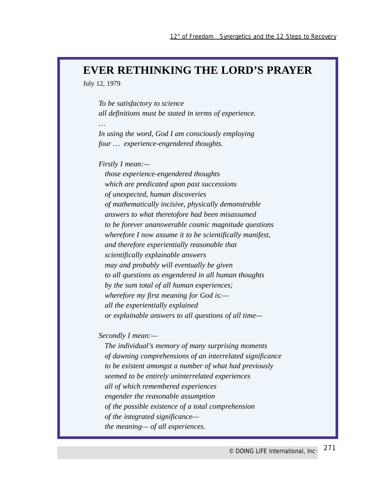## **EVER RETHINKING THE LORD'S PRAYER**

July 12, 1979

*…*

*To be satisfactory to science all definitions must be stated in terms of experience.*

*In using the word, God I am consciously employing four … experience-engendered thoughts.*

*Firstly I mean:—*

*those experience-engendered thoughts which are predicated upon past successions of unexpected, human discoveries of mathematically incisive, physically demonstrable answers to what theretofore had been misassumed to be forever unanswerable cosmic magnitude questions wherefore I now assume it to be scientifically manifest, and therefore experientially reasonable that scientifically explainable answers may and probably will eventually be given to all questions as engendered in all human thoughts by the sum total of all human experiences; wherefore my first meaning for God is: all the experientially explained or explainable answers to all questions of all time—*

*Secondly I mean:—*

*The individual's memory of many surprising moments of dawning comprehensions of an interrelated significance to be existent amongst a number of what had previously seemed to be entirely uninterrelated experiences all of which remembered experiences engender the reasonable assumption of the possible existence of a total comprehension of the integrated significance the meaning— of all experiences.*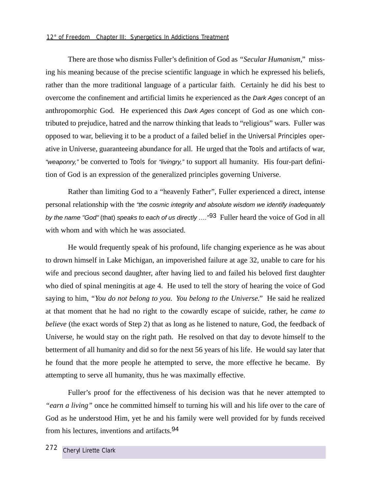## *12° of Freedom Chapter III: Synergetics In Addictions Treatment*

There are those who dismiss Fuller's definition of God as *"Secular Humanism,"* missing his meaning because of the precise scientific language in which he expressed his beliefs, rather than the more traditional language of a particular faith. Certainly he did his best to overcome the confinement and artificial limits he experienced as the Dark Ages concept of an anthropomorphic God. He experienced this Dark Ages concept of God as one which contributed to prejudice, hatred and the narrow thinking that leads to "religious" wars. Fuller was opposed to war, believing it to be a product of a failed belief in the Universal Principles operative in Universe, guaranteeing abundance for all. He urged that the Tools and artifacts of war, "weaponry," be converted to Tools for "livingry," to support all humanity. His four-part definition of God is an expression of the generalized principles governing Universe.

Rather than limiting God to a "heavenly Father", Fuller experienced a direct, intense personal relationship with the "the cosmic integrity and absolute wisdom we identify inadequately by the name "God" (that) speaks to each of us directly ....<sup>"93</sup> Fuller heard the voice of God in all with whom and with which he was associated.

He would frequently speak of his profound, life changing experience as he was about to drown himself in Lake Michigan, an impoverished failure at age 32, unable to care for his wife and precious second daughter, after having lied to and failed his beloved first daughter who died of spinal meningitis at age 4. He used to tell the story of hearing the voice of God saying to him, *"You do not belong to you. You belong to the Universe."* He said he realized at that moment that he had no right to the cowardly escape of suicide, rather, he *came to believe* (the exact words of Step 2) that as long as he listened to nature, God, the feedback of Universe, he would stay on the right path. He resolved on that day to devote himself to the betterment of all humanity and did so for the next 56 years of his life. He would say later that he found that the more people he attempted to serve, the more effective he became. By attempting to serve all humanity, thus he was maximally effective.

Fuller's proof for the effectiveness of his decision was that he never attempted to *"earn a living"* once he committed himself to turning his will and his life over to the care of God as he understood Him, yet he and his family were well provided for by funds received from his lectures, inventions and artifacts.94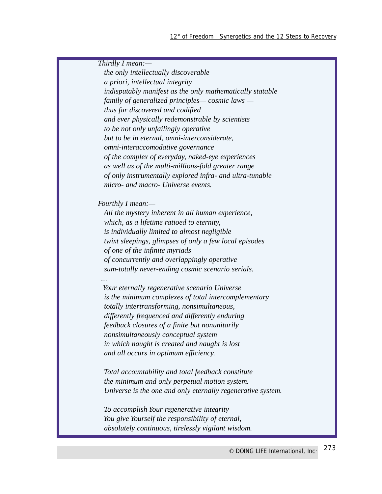*Thirdly I mean: the only intellectually discoverable a priori, intellectual integrity indisputably manifest as the only mathematically statable family of generalized principles— cosmic laws thus far discovered and codified and ever physically redemonstrable by scientists to be not only unfailingly operative but to be in eternal, omni-interconsiderate, omni-interaccomodative governance of the complex of everyday, naked-eye experiences as well as of the multi-millions-fold greater range of only instrumentally explored infra- and ultra-tunable micro- and macro- Universe events. Fourthly I mean:— All the mystery inherent in all human experience, which, as a lifetime ratioed to eternity, is individually limited to almost negligible twixt sleepings, glimpses of only a few local episodes of one of the infinite myriads of concurrently and overlappingly operative sum-totally never-ending cosmic scenario serials. … Your eternally regenerative scenario Universe is the minimum complexes of total intercomplementary totally intertransforming, nonsimultaneous, differently frequenced and differently enduring feedback closures of a finite but nonunitarily nonsimultaneously conceptual system in which naught is created and naught is lost and all occurs in optimum efficiency. Total accountability and total feedback constitute the minimum and only perpetual motion system. Universe is the one and only eternally regenerative system. To accomplish Your regenerative integrity You give Yourself the responsibility of eternal, absolutely continuous, tirelessly vigilant wisdom.*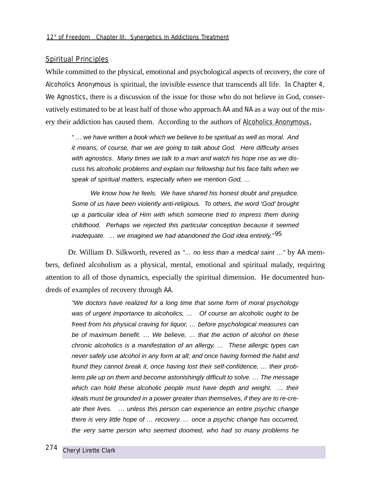## Spiritual Principles

While committed to the physical, emotional and psychological aspects of recovery, the core of Alcoholics Anonymous is spiritual, the invisible essence that transcends all life. In *Chapter 4, We Agnostics*, there is a discussion of the issue for those who do not believe in God, conservatively estimated to be at least half of those who approach AA and NA as a way out of the misery their addiction has caused them. According to the authors of Alcoholics Anonymous,

" … we have written a book which we believe to be spiritual as well as moral. And it means, of course, that we are going to talk about God. Here difficulty arises with agnostics. Many times we talk to a man and watch his hope rise as we discuss his alcoholic problems and explain our fellowship but his face falls when we speak of spiritual matters, especially when we mention God, ...

We know how he feels. We have shared his honest doubt and prejudice. Some of us have been violently anti-religious. To others, the word 'God' brought up a particular idea of Him with which someone tried to impress them during childhood. Perhaps we rejected this particular conception because it seemed inadequate.  $\ldots$  we imagined we had abandoned the God idea entirely.<sup>"95</sup>

Dr. William D. Silkworth, revered as "... no less than a medical saint ..." by AA members, defined alcoholism as a physical, mental, emotional and spiritual malady, requiring attention to all of those dynamics, especially the spiritual dimension. He documented hundreds of examples of recovery through AA.

"We doctors have realized for a long time that some form of moral psychology was of urgent importance to alcoholics, ... Of course an alcoholic ought to be freed from his physical craving for liquor, … before psychological measures can be of maximum benefit. … We believe, … that the action of alcohol on these chronic alcoholics is a manifestation of an allergy, … These allergic types can never safely use alcohol in any form at all; and once having formed the habit and found they cannot break it, once having lost their self-confidence, … their problems pile up on them and become astonishingly difficult to solve. … The message which can hold these alcoholic people must have depth and weight. ... their ideals must be grounded in a power greater than themselves, if they are to re-create their lives. … unless this person can experience an entire psychic change there is very little hope of … recovery. … once a psychic change has occurred, the very same person who seemed doomed, who had so many problems he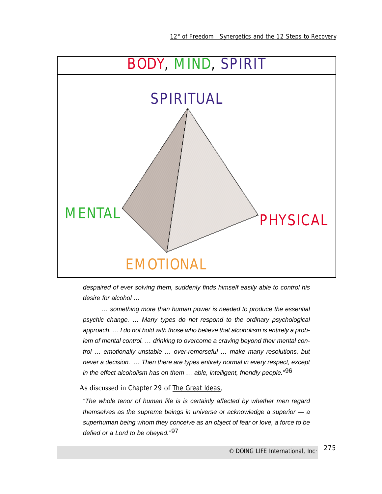

despaired of ever solving them, suddenly finds himself easily able to control his desire for alcohol …

… something more than human power is needed to produce the essential psychic change. … Many types do not respond to the ordinary psychological approach. … I do not hold with those who believe that alcoholism is entirely a problem of mental control. … drinking to overcome a craving beyond their mental control … emotionally unstable … over-remorseful … make many resolutions, but never a decision. … Then there are types entirely normal in every respect, except in the effect alcoholism has on them  $\ldots$  able, intelligent, friendly people.<sup>"96</sup>

As discussed in Chapter 29 of The Great Ideas,

"The whole tenor of human life is is certainly affected by whether men regard themselves as the supreme beings in universe or acknowledge a superior — a superhuman being whom they conceive as an object of fear or love, a force to be defied or a Lord to be obeyed."97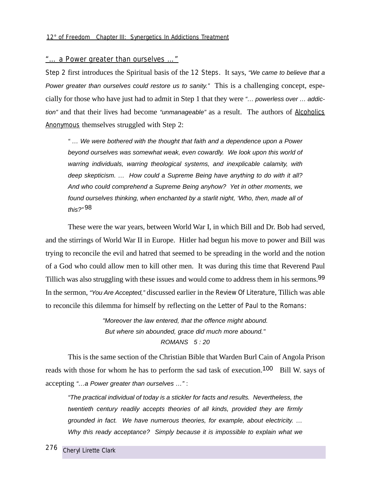## *"… a Power greater than ourselves …"*

Step 2 first introduces the Spiritual basis of the 12 Steps. It says, "We came to believe that a Power greater than ourselves could restore us to sanity." This is a challenging concept, especially for those who have just had to admit in Step 1 that they were "… powerless over … addiction" and that their lives had become "unmanageable" as a result. The authors of Alcoholics Anonymous themselves struggled with Step 2:

" … We were bothered with the thought that faith and a dependence upon a Power beyond ourselves was somewhat weak, even cowardly. We look upon this world of warring individuals, warring theological systems, and inexplicable calamity, with deep skepticism. … How could a Supreme Being have anything to do with it all? And who could comprehend a Supreme Being anyhow? Yet in other moments, we found ourselves thinking, when enchanted by a starlit night, 'Who, then, made all of this?" 98

These were the war years, between World War I, in which Bill and Dr. Bob had served, and the stirrings of World War II in Europe. Hitler had begun his move to power and Bill was trying to reconcile the evil and hatred that seemed to be spreading in the world and the notion of a God who could allow men to kill other men. It was during this time that Reverend Paul Tillich was also struggling with these issues and would come to address them in his sermons.<sup>99</sup> In the sermon, "You Are Accepted," discussed earlier in the Review Of Literature, Tillich was able to reconcile this dilemma for himself by reflecting on the Letter of Paul to the Romans:

> "Moreover the law entered, that the offence might abound. But where sin abounded, grace did much more abound." ROMANS 5 : 20

This is the same section of the Christian Bible that Warden Burl Cain of Angola Prison reads with those for whom he has to perform the sad task of execution.<sup>100</sup> Bill W. says of accepting "…a Power greater than ourselves …" :

"The practical individual of today is a stickler for facts and results. Nevertheless, the twentieth century readily accepts theories of all kinds, provided they are firmly grounded in fact. We have numerous theories, for example, about electricity. … Why this ready acceptance? Simply because it is impossible to explain what we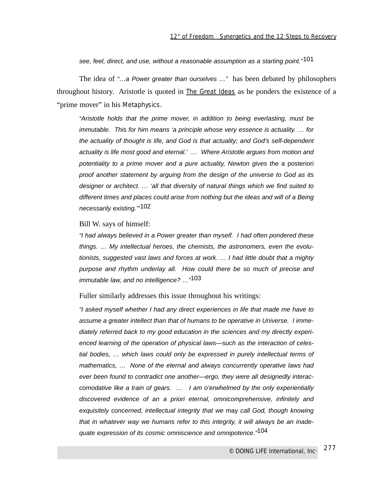see, feel, direct, and use, without a reasonable assumption as a starting point."<sup>101</sup>

The idea of "…a Power greater than ourselves …" has been debated by philosophers throughout history. Aristotle is quoted in The Great Ideas as he ponders the existence of a "prime mover" in his *Metaphysics*.

"Aristotle holds that the prime mover, in addition to being everlasting, must be immutable. This for him means 'a principle whose very essence is actuality. … for the actuality of thought is life, and God is that actuality; and God's self-dependent actuality is life most good and eternal.' … Where Aristotle argues from motion and potentiality to a prime mover and a pure actuality, Newton gives the a posteriori proof another statement by arguing from the design of the universe to God as its designer or architect. … 'all that diversity of natural things which we find suited to different times and places could arise from nothing but the ideas and will of a Being necessarily existing.'"102

#### Bill W. says of himself:

"I had always believed in a Power greater than myself. I had often pondered these things. … My intellectual heroes, the chemists, the astronomers, even the evolutionists, suggested vast laws and forces at work. … I had little doubt that a mighty purpose and rhythm underlay all. How could there be so much of precise and immutable law, and no intelligence? ..."<sup>103</sup>

#### Fuller similarly addresses this issue throughout his writings:

"I asked myself whether I had any direct experiences in life that made me have to assume a greater intellect than that of humans to be operative in Universe. I immediately referred back to my good education in the sciences and my directly experienced learning of the operation of physical laws—such as the interaction of celestial bodies, … which laws could only be expressed in purely intellectual terms of mathematics, … None of the eternal and always concurrently operative laws had ever been found to contradict one another—ergo, they were all designedly interaccomodative like a train of gears. … I am o'erwhelmed by the only experientially discovered evidence of an a priori eternal, omnicomprehensive, infinitely and exquisitely concerned, intellectual integrity that we may call God, though knowing that in whatever way we humans refer to this integrity, it will always be an inadequate expression of its cosmic omniscience and omnipotence."<sup>104</sup>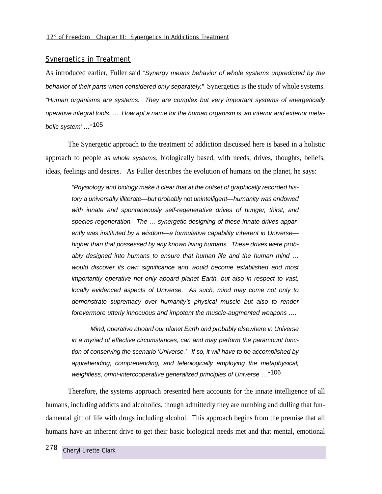## Synergetics in Treatment

As introduced earlier, Fuller said "Synergy means behavior of whole systems unpredicted by the behavior of their parts when considered only separately." Synergetics is the study of whole systems. "Human organisms are systems. They are complex but very important systems of energetically operative integral tools. … How apt a name for the human organism is 'an interior and exterior metabolic system' …"105

The Synergetic approach to the treatment of addiction discussed here is based in a holistic approach to people as whole systems, biologically based, with needs, drives, thoughts, beliefs, ideas, feelings and desires. As Fuller describes the evolution of humans on the planet, he says:

"Physiology and biology make it clear that at the outset of graphically recorded history a universally illiterate—but probably not unintelligent—humanity was endowed with innate and spontaneously self-regenerative drives of hunger, thirst, and species regeneration. The ... synergetic designing of these innate drives apparently was instituted by a wisdom-a formulative capability inherent in Universehigher than that possessed by any known living humans. These drives were probably designed into humans to ensure that human life and the human mind … would discover its own significance and would become established and most importantly operative not only aboard planet Earth, but also in respect to vast, locally evidenced aspects of Universe. As such, mind may come not only to demonstrate supremacy over humanity's physical muscle but also to render forevermore utterly innocuous and impotent the muscle-augmented weapons ….

Mind, operative aboard our planet Earth and probably elsewhere in Universe in a myriad of effective circumstances, can and may perform the paramount function of conserving the scenario 'Universe.' If so, it will have to be accomplished by apprehending, comprehending, and teleologically employing the metaphysical, weightless, omni-intercooperative generalized principles of Universe …*"*106

Therefore, the systems approach presented here accounts for the innate intelligence of all humans, including addicts and alcoholics, though admittedly they are numbing and dulling that fundamental gift of life with drugs including alcohol. This approach begins from the premise that all humans have an inherent drive to get their basic biological needs met and that mental, emotional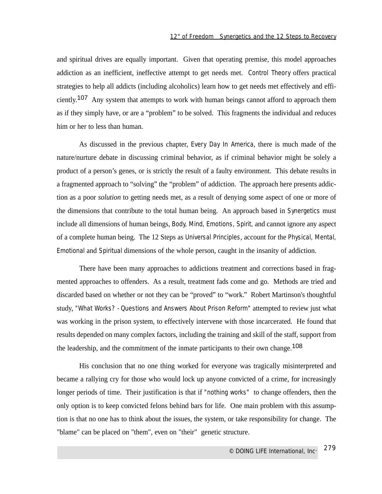and spiritual drives are equally important. Given that operating premise, this model approaches addiction as an inefficient, ineffective attempt to get needs met. Control Theory offers practical strategies to help all addicts (including alcoholics) learn how to get needs met effectively and efficiently.107 Any system that attempts to work with human beings cannot afford to approach them as if they simply have, or are a "problem" to be solved. This fragments the individual and reduces him or her to less than human.

As discussed in the previous chapter, *Every Day In America*, there is much made of the nature/nurture debate in discussing criminal behavior, as if criminal behavior might be solely a product of a person's genes, or is strictly the result of a faulty environment. This debate results in a fragmented approach to "solving" the "problem" of addiction. The approach here presents addiction as a poor *solution* to getting needs met, as a result of denying some aspect of one or more of the dimensions that contribute to the total human being. An approach based in Synergetics must include all dimensions of human beings, Body, Mind, Emotions, Spirit, and cannot ignore any aspect of a complete human being. The 12 Steps as Universal Principles, account for the Physical, Mental, Emotional and Spiritual dimensions of the whole person, caught in the insanity of addiction.

There have been many approaches to addictions treatment and corrections based in fragmented approaches to offenders. As a result, treatment fads come and go. Methods are tried and discarded based on whether or not they can be "proved" to "work." Robert Martinson's thoughtful study, *"What Works? - Questions and Answers About Prison Reform"* attempted to review just what was working in the prison system, to effectively intervene with those incarcerated. He found that results depended on many complex factors, including the training and skill of the staff, support from the leadership, and the commitment of the inmate participants to their own change.<sup>108</sup>

His conclusion that no one thing worked for everyone was tragically misinterpreted and became a rallying cry for those who would lock up anyone convicted of a crime, for increasingly longer periods of time. Their justification is that if *"nothing works"* to change offenders, then the only option is to keep convicted felons behind bars for life. One main problem with this assumption is that no one has to think about the issues, the system, or take responsibility for change. The "blame" can be placed on "them", even on "their" genetic structure.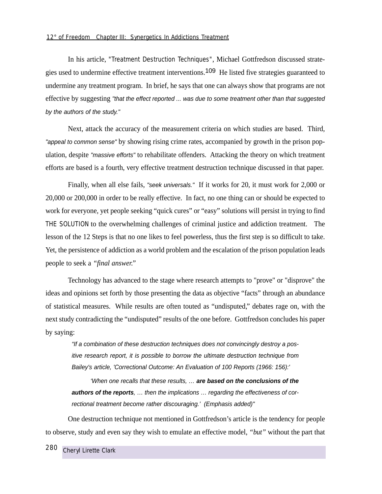In his article, *"Treatment Destruction Techniques"*, Michael Gottfredson discussed strategies used to undermine effective treatment interventions.109 He listed five strategies guaranteed to undermine any treatment program. In brief, he says that one can always show that programs are not effective by suggesting "that the effect reported ... was due to some treatment other than that suggested by the authors of the study."

Next, attack the accuracy of the measurement criteria on which studies are based. Third, "appeal to common sense" by showing rising crime rates, accompanied by growth in the prison population, despite "massive efforts" to rehabilitate offenders. Attacking the theory on which treatment efforts are based is a fourth, very effective treatment destruction technique discussed in that paper.

Finally, when all else fails, "seek universals." If it works for 20, it must work for 2,000 or 20,000 or 200,000 in order to be really effective. In fact, no one thing can or should be expected to work for everyone, yet people seeking "quick cures" or "easy" solutions will persist in trying to find THE SOLUTION to the overwhelming challenges of criminal justice and addiction treatment. The lesson of the 12 Steps is that no one likes to feel powerless, thus the first step is so difficult to take. Yet, the persistence of addiction as a world problem and the escalation of the prison population leads people to seek a *"final answer."*

Technology has advanced to the stage where research attempts to "prove" or "disprove" the ideas and opinions set forth by those presenting the data as objective "facts" through an abundance of statistical measures. While results are often touted as "undisputed," debates rage on, with the next study contradicting the "undisputed" results of the one before. Gottfredson concludes his paper by saying:

"If a combination of these destruction techniques does not convincingly destroy a positive research report, it is possible to borrow the ultimate destruction technique from Bailey's article, 'Correctional Outcome: An Evaluation of 100 Reports (1966: 156):'

'When one recalls that these results, … **are based on the conclusions of the authors of the reports**, … then the implications … regarding the effectiveness of correctional treatment become rather discouraging.' (Emphasis added)"

One destruction technique not mentioned in Gottfredson's article is the tendency for people to observe, study and even say they wish to emulate an effective model, *"but"* without the part that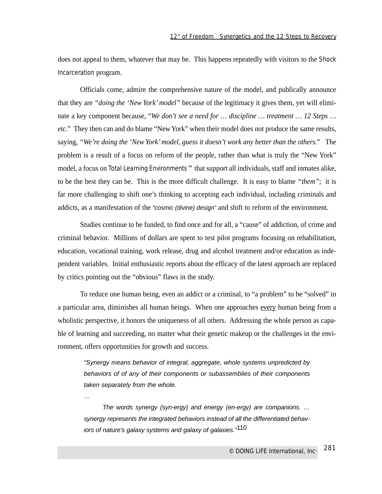does not appeal to them, whatever that may be. This happens repeatedly with visitors to the Shock Incarceration program.

Officials come, admire the comprehensive nature of the model, and publically announce that they are *"doing the 'New York' model"* because of the legitimacy it gives them, yet will eliminate a key component because, "*We don't see a need for … discipline … treatment … 12 Steps … etc."* They then can and do blame "New York" when their model does not produce the same results, saying, *"We're doing the 'New York'model, guess it doesn't work any better than the others."* The problem is a result of a focus on reform of the people, rather than what is truly the "New York" model, a focus on Total Learning Environments™ that support all individuals, staff and inmates alike, to be the best they can be. This is the more difficult challenge. It is easy to blame *"them"*; it is far more challenging to shift one's thinking to accepting each individual, including criminals and addicts, as a manifestation of the "cosmic (divine) design" and shift to reform of the environment.

Studies continue to be funded, to find once and for all, a "cause" of addiction, of crime and criminal behavior. Millions of dollars are spent to test pilot programs focusing on rehabilitation, education, vocational training, work release, drug and alcohol treatment and/or education as independent variables. Initial enthusiastic reports about the efficacy of the latest approach are replaced by critics pointing out the "obvious" flaws in the study.

To reduce one human being, even an addict or a criminal, to "a problem" to be "solved" in a particular area, diminishes all human beings. When one approaches every human being from a wholistic perspective, it honors the uniqueness of all others. Addressing the whole person as capable of learning and succeeding, no matter what their genetic makeup or the challenges in the environment, offers opportunities for growth and success.

"Synergy means behavior of integral, aggregate, whole systems unpredicted by behaviors of of any of their components or subassemblies of their components taken separately from the whole.

…

The words synergy (syn-ergy) and energy (en-ergy) are companions. … synergy represents the integrated behaviors instead of all the differentiated behaviors of nature's galaxy systems and galaxy of galaxies."<sup>110</sup>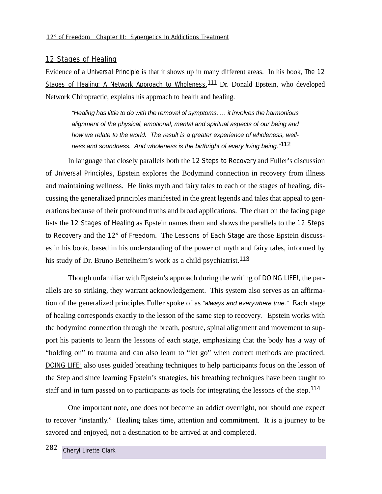## 12 Stages of Healing

Evidence of a Universal Principle is that it shows up in many different areas. In his book, The 12 Stages of Healing: A Network Approach to Wholeness, 111 Dr. Donald Epstein, who developed Network Chiropractic, explains his approach to health and healing.

"Healing has little to do with the removal of symptoms. … it involves the harmonious alignment of the physical, emotional, mental and spiritual aspects of our being and how we relate to the world. The result is a greater experience of wholeness, wellness and soundness. And wholeness is the birthright of every living being."<sup>112</sup>

In language that closely parallels both the 12 Steps to Recovery and Fuller's discussion of Universal Principles, Epstein explores the Bodymind connection in recovery from illness and maintaining wellness. He links myth and fairy tales to each of the stages of healing, discussing the generalized principles manifested in the great legends and tales that appeal to generations because of their profound truths and broad applications. The chart on the facing page lists the 12 Stages of Healing as Epstein names them and shows the parallels to the 12 Steps to Recovery and the 12° of Freedom. The Lessons of Each Stage are those Epstein discusses in his book, based in his understanding of the power of myth and fairy tales, informed by his study of Dr. Bruno Bettelheim's work as a child psychiatrist.<sup>113</sup>

Though unfamiliar with Epstein's approach during the writing of DOING LIFE!, the parallels are so striking, they warrant acknowledgement. This system also serves as an affirmation of the generalized principles Fuller spoke of as "always and everywhere true." Each stage of healing corresponds exactly to the lesson of the same step to recovery. Epstein works with the bodymind connection through the breath, posture, spinal alignment and movement to support his patients to learn the lessons of each stage, emphasizing that the body has a way of "holding on" to trauma and can also learn to "let go" when correct methods are practiced. DOING LIFE! also uses guided breathing techniques to help participants focus on the lesson of the Step and since learning Epstein's strategies, his breathing techniques have been taught to staff and in turn passed on to participants as tools for integrating the lessons of the step.<sup>114</sup>

One important note, one does not become an addict overnight, nor should one expect to recover "instantly." Healing takes time, attention and commitment. It is a journey to be savored and enjoyed, not a destination to be arrived at and completed.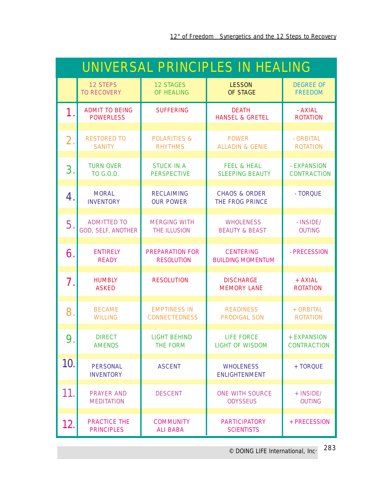| UNIVERSAL PRINCIPLES IN HEALING |                                                 |                                             |                                                    |                                    |
|---------------------------------|-------------------------------------------------|---------------------------------------------|----------------------------------------------------|------------------------------------|
|                                 | <b>12 STEPS</b><br><b>TO RECOVERY</b>           | <b>12 STAGES</b><br><b>OF HEALING</b>       | <b>LESSON</b><br><b>OF STAGE</b>                   | <b>DEGREE OF</b><br><b>FREEDOM</b> |
| 1.                              | <b>ADMIT TO BEING</b><br><b>POWERLESS</b>       | <b>SUFFERING</b>                            | <b>DEATH</b><br><b>HANSEL &amp; GRETEL</b>         | - AXIAL<br><b>ROTATION</b>         |
| 2.                              | <b>RESTORED TO</b><br><b>SANITY</b>             | <b>POLARITIES &amp;</b><br><b>RHYTHMS</b>   | <b>POWER</b><br><b>ALLADIN &amp; GENIE</b>         | - ORBITAL<br><b>ROTATION</b>       |
| 3.                              | <b>TURN OVER</b><br><b>TO G.O.D.</b>            | <b>STUCK IN A</b><br><b>PERSPECTIVE</b>     | <b>FEEL &amp; HEAL</b><br><b>SLEEPING BEAUTY</b>   | - EXPANSION<br><b>CONTRACTION</b>  |
| 4.                              | <b>MORAL</b><br><b>INVENTORY</b>                | <b>RECLAIMING</b><br><b>OUR POWER</b>       | <b>CHAOS &amp; ORDER</b><br><b>THE FROG PRINCE</b> | - TORQUE                           |
| 5.                              | <b>ADMITTED TO</b><br><b>GOD, SELF, ANOTHER</b> | <b>MERGING WITH</b><br><b>THE ILLUSION</b>  | <b>WHOLENESS</b><br><b>BEAUTY &amp; BEAST</b>      | - INSIDE/<br><b>OUTING</b>         |
| 6.                              | <b>ENTIRELY</b><br><b>READY</b>                 | <b>PREPARATION FOR</b><br><b>RESOLUTION</b> | <b>CENTERING</b><br><b>BUILDING MOMENTUM</b>       | - PRECESSION                       |
| 7.                              | <b>HUMBLY</b><br><b>ASKED</b>                   | <b>RESOLUTION</b>                           | <b>DISCHARGE</b><br><b>MEMORY LANE</b>             | + AXIAL<br><b>ROTATION</b>         |
| 8.                              | <b>BECAME</b><br><b>WILLING</b>                 | <b>EMPTINESS IN</b><br><b>CONNECTEDNESS</b> | <b>READINESS</b><br><b>PRODIGAL SON</b>            | + ORBITAL<br><b>ROTATION</b>       |
| $\mathbf{O}$<br>7.              | <b>DIRECT</b><br><b>AMENDS</b>                  | <b>LIGHT BEHIND</b><br><b>THE FORM</b>      | <b>LIFE FORCE</b><br><b>LIGHT OF WISDOM</b>        | + EXPANSION<br><b>CONTRACTION</b>  |
| 10.                             | <b>PERSONAL</b><br><b>INVENTORY</b>             | <b>ASCENT</b>                               | <b>WHOLENESS</b><br><b>ENLIGHTENMENT</b>           | + TORQUE                           |
| 11.                             | <b>PRAYER AND</b><br><b>MEDITATION</b>          | <b>DESCENT</b>                              | <b>ONE WITH SOURCE</b><br><b>ODYSSEUS</b>          | + INSIDE/<br><b>OUTING</b>         |
| 12.                             | <b>PRACTICE THE</b><br><b>PRINCIPLES</b>        | <b>COMMUNITY</b><br><b>ALI BABA</b>         | <b>PARTICIPATORY</b><br><b>SCIENTISTS</b>          | + PRECESSION                       |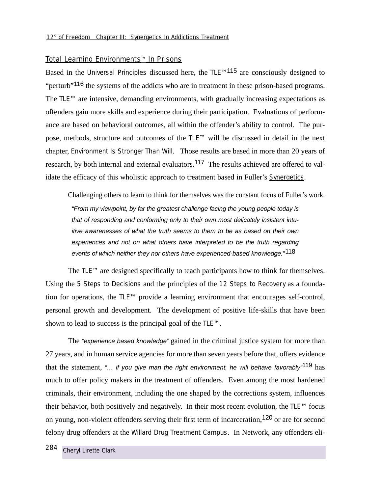## Total Learning Environments™ In Prisons

Based in the Universal Principles discussed here, the TLE™115 are consciously designed to "perturb"<sup>116</sup> the systems of the addicts who are in treatment in these prison-based programs. The TLE™ are intensive, demanding environments, with gradually increasing expectations as offenders gain more skills and experience during their participation. Evaluations of performance are based on behavioral outcomes, all within the offender's ability to control. The purpose, methods, structure and outcomes of the TLE™ will be discussed in detail in the next chapter, *Environment Is Stronger Than Will*. Those results are based in more than 20 years of research, by both internal and external evaluators.<sup>117</sup> The results achieved are offered to validate the efficacy of this wholistic approach to treatment based in Fuller's Synergetics.

Challenging others to learn to think for themselves was the constant focus of Fuller's work. "From my viewpoint, by far the greatest challenge facing the young people today is that of responding and conforming only to their own most delicately insistent intuitive awarenesses of what the truth seems to them to be as based on their own experiences and not on what others have interpreted to be the truth regarding events of which neither they nor others have experienced-based knowledge."<sup>118</sup>

The TLE™ are designed specifically to teach participants how to think for themselves. Using the 5 Steps to Decisions and the principles of the 12 Steps to Recovery as a foundation for operations, the TLE™ provide a learning environment that encourages self-control, personal growth and development. The development of positive life-skills that have been shown to lead to success is the principal goal of the TLE™.

The "experience based knowledge" gained in the criminal justice system for more than 27 years, and in human service agencies for more than seven years before that, offers evidence that the statement, "... if you give man the right environment, he will behave favorably<sup>-119</sup> has much to offer policy makers in the treatment of offenders. Even among the most hardened criminals, their environment, including the one shaped by the corrections system, influences their behavior, both positively and negatively. In their most recent evolution, the TLE™ focus on young, non-violent offenders serving their first term of incarceration,120 or are for second felony drug offenders at the Willard Drug Treatment Campus. In Network, any offenders eli-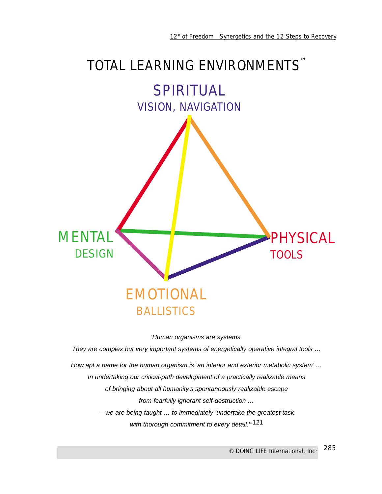## TOTAL LEARNING ENVIRONMENTS<sup>™</sup>



'Human organisms are systems.

They are complex but very important systems of energetically operative integral tools … How apt a name for the human organism is 'an interior and exterior metabolic system' … In undertaking our critical-path development of a practically realizable means of bringing about all humanity's spontaneously realizable escape

from fearfully ignorant self-destruction …

—we are being taught … to immediately 'undertake the greatest task with thorough commitment to every detail."<sup>121</sup>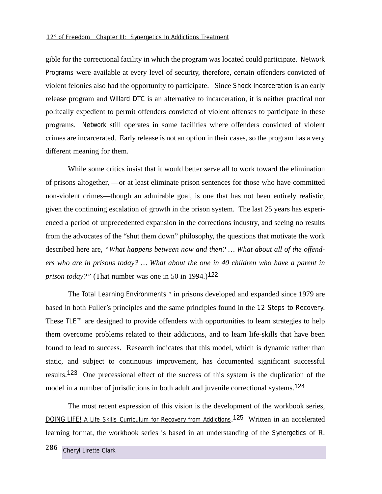gible for the correctional facility in which the program was located could participate. Network Programs were available at every level of security, therefore, certain offenders convicted of violent felonies also had the opportunity to participate. Since Shock Incarceration is an early release program and Willard DTC is an alternative to incarceration, it is neither practical nor politcally expedient to permit offenders convicted of violent offenses to participate in these programs. Network still operates in some facilities where offenders convicted of violent crimes are incarcerated. Early release is not an option in their cases, so the program has a very different meaning for them.

While some critics insist that it would better serve all to work toward the elimination of prisons altogether, —or at least eliminate prison sentences for those who have committed non-violent crimes—though an admirable goal, is one that has not been entirely realistic, given the continuing escalation of growth in the prison system. The last 25 years has experienced a period of unprecedented expansion in the corrections industry, and seeing no results from the advocates of the "shut them down" philosophy, the questions that motivate the work described here are, *"What happens between now and then? … What about all of the offenders who are in prisons today? … What about the one in 40 children who have a parent in prison today?"* (That number was one in 50 in 1994.)<sup>122</sup>

The Total Learning Environments™ in prisons developed and expanded since 1979 are based in both Fuller's principles and the same principles found in the 12 Steps to Recovery. These TLE™ are designed to provide offenders with opportunities to learn strategies to help them overcome problems related to their addictions, and to learn life-skills that have been found to lead to success. Research indicates that this model, which is dynamic rather than static, and subject to continuous improvement, has documented significant successful results.123 One precessional effect of the success of this system is the duplication of the model in a number of jurisdictions in both adult and juvenile correctional systems.<sup>124</sup>

The most recent expression of this vision is the development of the workbook series, DOING LIFE! A Life Skills Curriculum for Recovery from Addictions.<sup>125</sup> Written in an accelerated learning format, the workbook series is based in an understanding of the Synergetics of R.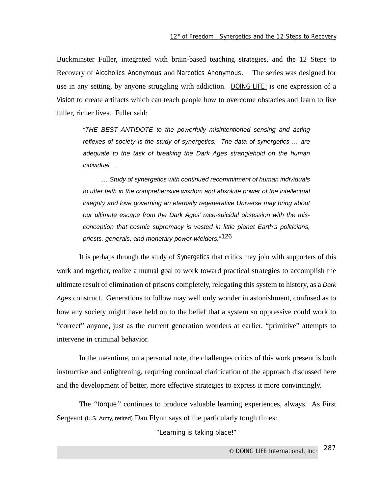Buckminster Fuller, integrated with brain-based teaching strategies, and the 12 Steps to Recovery of Alcoholics Anonymous and Narcotics Anonymous. The series was designed for use in any setting, by anyone struggling with addiction. DOING LIFE! is one expression of a Vision to create artifacts which can teach people how to overcome obstacles and learn to live fuller, richer lives. Fuller said:

"THE BEST ANTIDOTE to the powerfully misintentioned sensing and acting reflexes of society is the study of synergetics. The data of synergetics … are adequate to the task of breaking the Dark Ages stranglehold on the human individual. …

… Study of synergetics with continued recommitment of human individuals to utter faith in the comprehensive wisdom and absolute power of the intellectual integrity and love governing an eternally regenerative Universe may bring about our ultimate escape from the Dark Ages' race-suicidal obsession with the misconception that cosmic supremacy is vested in little planet Earth's politicians, priests, generals, and monetary power-wielders."126

It is perhaps through the study of Synergetics that critics may join with supporters of this work and together, realize a mutual goal to work toward practical strategies to accomplish the ultimate result of elimination of prisons completely, relegating this system to history, as a Dark Ages construct. Generations to follow may well only wonder in astonishment, confused as to how any society might have held on to the belief that a system so oppressive could work to "correct" anyone, just as the current generation wonders at earlier, "primitive" attempts to intervene in criminal behavior.

In the meantime, on a personal note, the challenges critics of this work present is both instructive and enlightening, requiring continual clarification of the approach discussed here and the development of better, more effective strategies to express it more convincingly.

The *"torque"* continues to produce valuable learning experiences, always. As First Sergeant (U.S. Army, retired) Dan Flynn says of the particularly tough times:

*"Learning is taking place!"*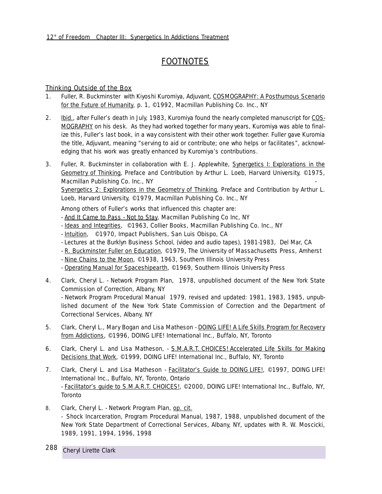## **FOOTNOTES**

## Thinking Outside of the Box

- 1. Fuller, R. Buckminster with Kiyoshi Kuromiya, Adjuvant, COSMOGRAPHY: A Posthumous Scenario for the Future of Humanity, p. 1, ©1992, Macmillan Publishing Co. Inc., NY
- 2. **Ibid.**, after Fuller's death in July, 1983, Kuromiya found the nearly completed manuscript for COS-MOGRAPHY on his desk. As they had worked together for many years, Kuromiya was able to finalize this, Fuller's last book, in a way consistent with their other work together. Fuller gave Kuromia the title, Adjuvant, meaning "*serving to aid or contribute; one who helps or facilitates"*, acknowledging that his work was greatly enhanced by Kuromiya's contributions.
- 3. Fuller, R. Buckminster in collaboration with E. J. Applewhite, Synergetics I: Explorations in the Geometry of Thinking, Preface and Contribution by Arthur L. Loeb, Harvard University, ©1975, Macmillan Publishing Co. Inc., NY

Synergetics 2: Explorations in the Geometry of Thinking, Preface and Contribution by Arthur L. Loeb, Harvard University, ©1979, Macmillan Publishing Co. Inc., NY

Among others of Fuller's works that influenced this chapter are:

- And It Came to Pass Not to Stay, Macmillan Publishing Co Inc, NY
- Ideas and Integrities, ©1963, Collier Books, Macmillan Publishing Co. Inc., NY
- Intuition, ©1970, Impact Publishers, San Luis Obispo, CA
- Lectures at the Burklyn Business School, (video and audio tapes), 1981-1983, Del Mar, CA
- R. Buckminster Fuller on Education, ©1979, The University of Massachusetts Press, Amherst
- Nine Chains to the Moon, ©1938, 1963, Southern Illinois University Press
- Operating Manual for Spaceshipearth, ©1969, Southern Illinois University Press
- 4. Clark, Cheryl L. *Network Program Plan*, 1978, unpublished document of the New York State Commission of Correction, Albany, NY

- *Network Program Procedural Manual* 1979, revised and updated: 1981, 1983, 1985, unpublished document of the New York State Commission of Correction and the Department of Correctional Services, Albany, NY

- 5. Clark, Cheryl L., Mary Bogan and Lisa Matheson DOING LIFE! A Life Skills Program for Recovery from Addictions, ©1996, DOING LIFE! International Inc., Buffalo, NY, Toronto
- 6. Clark, Cheryl L. and Lisa Matheson*,* S.M.A.R.T. CHOICES! Accelerated Life Skills for Making Decisions that Work, ©1999, DOING LIFE! International Inc., Buffalo, NY, Toronto
- 7. Clark, Cheryl L. and Lisa Matheson **Facilitator's Guide to DOING LIFE!**, ©1997, DOING LIFE! International Inc., Buffalo, NY, Toronto, Ontario - Facilitator's guide to S.M.A.R.T. CHOICES!, ©2000, DOING LIFE! International Inc., Buffalo, NY, Toronto
- 8. Clark, Cheryl L. *Network Program Plan*, op. cit. - *Shock Incarceration, Program Procedural Manual*, 1987, 1988, unpublished document of the New York State Department of Correctional Services, Albany, NY, updates with R. W. Moscicki, 1989, 1991, 1994, 1996, 1998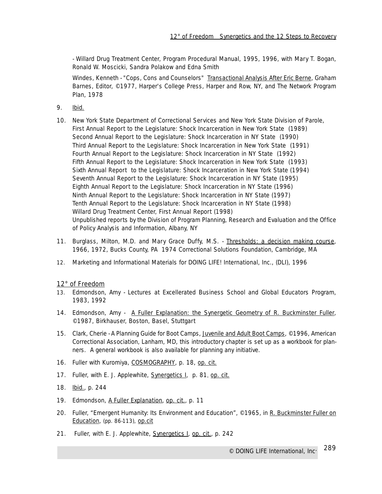- *Willard Drug Treatment Center, Program Procedural Manual*, 1995, 1996, with Mary T. Bogan, Ronald W. Moscicki, Sandra Polakow and Edna Smith

Windes, Kenneth - *"Cops, Cons and Counselors"* Transactional Analysis After Eric Berne, Graham Barnes, Editor, ©1977, Harper's College Press, Harper and Row, NY, and *The Network Program Plan*, 1978

- 9. Ibid.
- 10. New York State Department of Correctional Services and New York State Division of Parole, First Annual Report to the Legislature: Shock Incarceration in New York State (1989) Second Annual Report to the Legislature: Shock Incarceration in NY State (1990) Third Annual Report to the Legislature: Shock Incarceration in New York State (1991) Fourth Annual Report to the Legislature: Shock Incarceration in NY State (1992) Fifth Annual Report to the Legislature: Shock Incarceration in New York State (1993) Sixth Annual Report to the Legislature: Shock Incarceration in New York State (1994) Seventh Annual Report to the Legislature: Shock Incarceration in NY State (1995) Eighth Annual Report to the Legislature: Shock Incarceration in NY State (1996) Ninth Annual Report to the Legislature: Shock Incarceration in NY State (1997) Tenth Annual Report to the Legislature: Shock Incarceration in NY State (1998) Willard Drug Treatment Center, First Annual Report (1998) Unpublished reports by the Division of Program Planning, Research and Evaluation and the Office of Policy Analysis and Information, Albany, NY
- 11. Burglass, Milton, M.D. and Mary Grace Duffy, M.S. Thresholds: a decision making course, 1966, 1972, Bucks County, PA 1974 Correctional Solutions Foundation, Cambridge, MA
- 12. Marketing and Informational Materials for DOING LIFE! International, Inc., (DLI), 1996

## 12° of Freedom

- 13. Edmondson, Amy Lectures at Excellerated Business School and Global Educators Program, 1983, 1992
- 14. Edmondson, Amy A Fuller Explanation: the Synergetic Geometry of R. Buckminster Fuller, ©1987, Birkhauser, Boston, Basel, Stuttgart
- 15. Clark, Cherie A *Planning Guide for Boot Camps,* Juvenile and Adult Boot Camps, ©1996, American Correctional Association, Lanham, MD, this introductory chapter is set up as a workbook for planners. A general workbook is also available for planning any initiative.
- 16. Fuller with Kuromiya, COSMOGRAPHY*,* p. 18, op. cit.
- 17. Fuller, with E. J. Applewhite, Synergetics I*,* p. 81, op. cit.
- 18. Ibid., p. 244
- 19. Edmondson, A Fuller Explanation*,* op. cit., p. 11
- 20. Fuller, *"Emergent Humanity: Its Environment and Education"*, ©1965, in R. Buckminster Fuller on Education, (pp. 86-113), op.cit
- 21. Fuller, with E. J. Applewhite, Synergetics I*,* op. cit., p. 242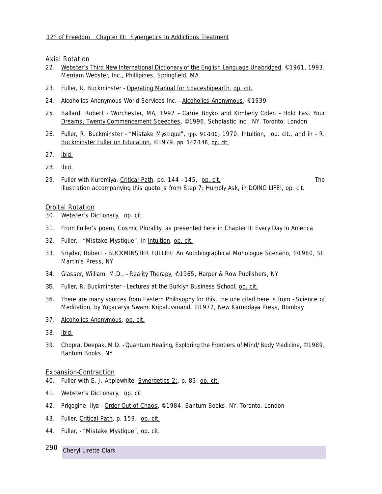## Axial Rotation

- 22. Webster's Third New International Dictionary of the English Language Unabridged, ©1961, 1993, Merriam Webster, Inc., Phillipines, Springfield, MA
- 23. Fuller, R. Buckminster Operating Manual for Spaceshipearth, op. cit.
- 24. Alcoholics Anonymous World Services Inc. Alcoholics Anonymous, ©1939
- 25. Ballard, Robert Worchester, MA, 1992 Carrie Boyko and Kimberly Colen Hold Fast Your Dreams, *Twenty Commencement Speeches*, ©1996, Scholastic Inc., NY, Toronto, London
- 26. Fuller, R. Buckminster *"Mistake Mystique",* (pp. 91-100) 1970, Intuition, op. cit., and in R. Buckminster Fuller on Education, ©1979, pp. 142-148, op. cit.
- 27. Ibid.
- 28. Ibid.
- 29. Fuller with Kuromiya, Critical Path, pp. 144 145, op. cit. The illustration accompanying this quote is from *Step 7: Humbly Ask*, in DOING LIFE!, op. cit.

### Orbital Rotation

- 30. Webster's Dictionary, op. cit.
- 31. From Fuller's poem, *Cosmic Plurality*, as presented here in Chapter II: Every Day In America
- 32. Fuller, *"Mistake Mystique",* in Intuition, op. cit.
- 33. Snyder, Robert BUCKMINSTER FULLER: An Autobiographical Monologue Scenario, ©1980, St. Martin's Press, NY
- 34. Glasser, William, M.D., Reality Therapy, ©1965, Harper & Row Publishers, NY
- 35. Fuller, R. Buckminster Lectures at the Burklyn Business School, op. cit.
- 36. There are many sources from Eastern Philosophy for this, the one cited here is from Science of Meditation, by Yogacarya Swami Kripaluvanand, ©1977, New Karnodaya Press, Bombay
- 37. Alcoholics Anonymous, op. cit.
- 38. Ibid.
- 39. Chopra, Deepak, M.D. Quantum Healing, Exploring the Frontiers of Mind/Body Medicine, ©1989, Bantum Books, NY

### Expansion-Contraction

- 40. Fuller with E. J. Applewhite, Synergetics 2:, p. 83, op. cit.
- 41. Webster's Dictionary, op. cit.
- 42. Prigogine, Ilya Order Out of Chaos, ©1984, Bantum Books, NY, Toronto, London
- 43. Fuller, Critical Path, p. 159, op. cit.
- 44. Fuller, *"Mistake Mystique",* op. cit.
- 290 *Cheryl Lirette Clark*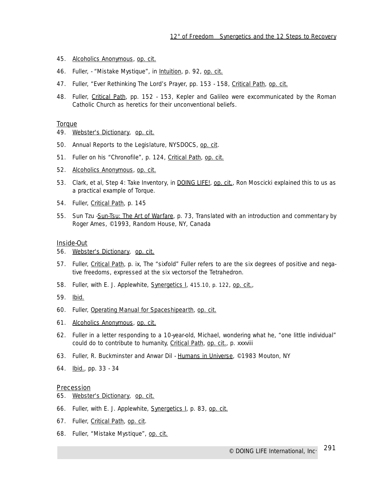- 45. Alcoholics Anonymous, op. cit.
- 46. Fuller, *"Mistake Mystique",* in Intuition, p. 92, op. cit.
- 47. Fuller, *"Ever Rethinking The Lord's Prayer,* pp. 153 158, Critical Path, op. cit.
- 48. Fuller, Critical Path*,* pp. 152 153, Kepler and Galileo were excommunicated by the Roman Catholic Church as heretics for their unconventional beliefs.

#### **Torque**

- 49. Webster's Dictionary, op. cit.
- 50. Annual Reports to the Legislature, NYSDOCS, op. cit.
- 51. Fuller on his *"Chronofile"*, p. 124, Critical Path, op. cit.
- 52. Alcoholics Anonymous, op. cit.
- 53. Clark, et al, *Step 4: Take Inventory*, in DOING LIFE!, op. cit., Ron Moscicki explained this to us as a practical example of Torque.
- 54. Fuller, Critical Path*,* p. 145
- 55. Sun Tzu Sun-Tsu: The Art of Warfare, p. 73, Translated with an introduction and commentary by Roger Ames, ©1993, Random House, NY, Canada

### Inside-Out

- 56. Webster's Dictionary, op. cit.
- 57. Fuller, Critical Path*,* p. ix, The "sixfold" Fuller refers to are the six degrees of positive and negative freedoms, expressed at the six vectorsof the Tetrahedron.
- 58. Fuller, with E. J. Applewhite, Synergetics I*,* 415.10, p. 122, op. cit.,
- 59. Ibid.
- 60. Fuller, Operating Manual for Spaceshipearth, op. cit.
- 61. Alcoholics Anonymous, op. cit.
- 62. Fuller in a letter responding to a 10-year-old, Michael, wondering what he, "one little individual" could do to contribute to humanity, Critical Path*,* op. cit., p. xxxviii
- 63. Fuller, R. Buckminster and Anwar Dil Humans in Universe, ©1983 Mouton, NY
- 64. Ibid., pp. 33 34

### **Precession**

- 65. Webster's Dictionary, op. cit.
- 66. Fuller, with E. J. Applewhite, Synergetics I*,* p. 83, op. cit.
- 67. Fuller, Critical Path*,* op. cit.
- 68. Fuller, *"Mistake Mystique",* op. cit.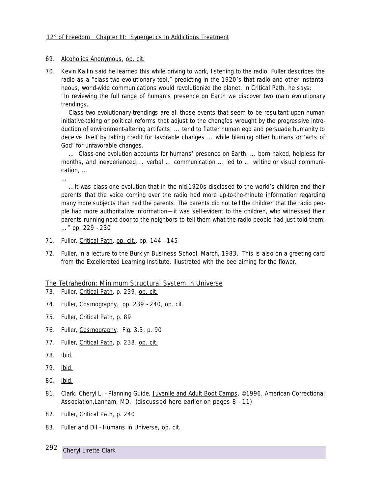### 69. Alcoholics Anonymous, op. cit.

70. Kevin Kallin said he learned this while driving to work, listening to the radio. Fuller describes the radio as a "class-two evolutionary tool," predicting in the 1920's that radio and other instantaneous, world-wide communications would revolutionize the planet. In Critical Path, he says: *"In reviewing the full range of human's presence on Earth we discover two main evolutionary trendings.*

*Class two evolutionary trendings are all those events that seem to be resultant upon human initiative-taking or political reforms that adjust to the changfes wrought by the progressive introduction of environment-altering artifacts. … tend to flatter human ego and persuade humanity to deceive itself by taking credit for favorable changes … while blaming other humans or 'acts of God' for unfavorable changes.*

*… Class-one evolution accounts for humans' presence on Earth. … born naked, helpless for months, and inexperienced … verbal … communication … led to … writing or visual communication, …*

*…*

*…It was class-one evolution that in the nid-1920s disclosed to the world's children and their parents that the voice coming over the radio had more up-to-the-minute information regarding many more subjects than had the parents. The parents did not tell the children that the radio people had more authoritative information—it was self-evident to the children, who witnessed their parents running next door to the neighbors to tell them what the radio people had just told them. …"* pp. 229 - 230

- 71. Fuller, Critical Path*,* op. cit., pp. 144 145
- 72. Fuller, in a lecture to the Burklyn Business School, March, 1983. This is also on a greeting card from the Excellerated Learning Institute, illustrated with the bee aiming for the flower.

## The Tetrahedron: Minimum Structural System In Universe

- 73. Fuller, Critical Path*,* p. 239, op. cit.
- 74. Fuller, Cosmography*,* pp. 239 240, op. cit.
- 75. Fuller, Critical Path*,* p. 89
- 76. Fuller, Cosmography*,* Fig. 3.3, p. 90
- 77. Fuller, Critical Path*,* p. 238, op. cit.
- 78. lbid.
- 79. Ibid.
- 80. Ibid.
- 81. Clark, Cheryl L. *Planning Guide,* Juvenile and Adult Boot Camps, ©1996, American Correctional Association,Lanham, MD, (discussed here earlier on pages 8 - 11)
- 82. Fuller, Critical Path*,* p. 240
- 83. Fuller and Dil Humans in Universe, op. cit.

292 *Cheryl Lirette Clark*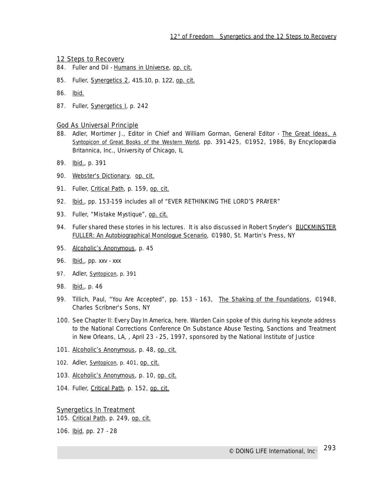### 12 Steps to Recovery

- 84. Fuller and Dil Humans in Universe, op. cit.
- 85. Fuller, Synergetics 2, 415.10, p. 122, op. cit.
- 86. Ibid.
- 87. Fuller, Synergetics I, p. 242

#### God As Universal Principle

- 88. Adler, Mortimer J., Editor in Chief and William Gorman, General Editor The Great Ideas, *A Syntopicon of Great Books of the Western World*, pp. 391-425, ©1952, 1986, By Encyclopædia Britannica, Inc., University of Chicago, IL
- 89. Ibid., p. 391
- 90. Webster's Dictionary, op. cit.
- 91. Fuller, Critical Path*,* p. 159, op. cit.
- 92. Ibid., pp. 153-159 includes all of "EVER RETHINKING THE LORD'S PRAYER"
- 93. Fuller, "Mistake Mystique", op. cit.
- 94. Fuller shared these stories in his lectures. It is also discussed in Robert Snyder's BUCKMINSTER FULLER: An Autobiographical Monologue Scenario, ©1980, St. Martin's Press, NY
- 95. Alcoholic's Anonymous, p. 45
- 96. **Ibid.**, pp. xxv xxx
- 97. Adler, *Syntopicon*, p. 391
- 98. Ibid., p. 46
- 99. Tillich, Paul, *"You Are Accepted"*, pp. 153 163, The Shaking of the Foundations, ©1948, Charles Scribner's Sons, NY
- 100. See Chapter II: Every Day In America, here. Warden Cain spoke of this during his keynote address to the National Corrections Conference On Substance Abuse Testing, Sanctions and Treatment in New Orleans, LA, , April 23 - 25, 1997, sponsored by the National Institute of Justice
- 101. Alcoholic's Anonymous, p. 48, op. cit.
- 102. Adler, *Syntopicon*, p. 401, op. cit.
- 103. Alcoholic's Anonymous, p. 10, op. cit.
- 104. Fuller, Critical Path*,* p. 152, op. cit.

### Synergetics In Treatment

105. Critical Path*,* p. 249, op. cit.

106. Ibid, pp. 27 - 28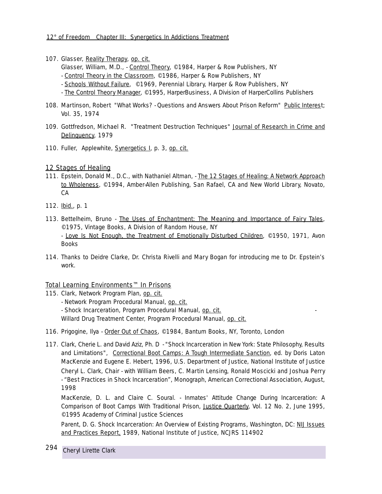- 107. Glasser, Reality Therapy, op. cit.
	- Glasser, William, M.D., Control Theory, ©1984, Harper & Row Publishers, NY
	- Control Theory in the Classroom, ©1986, Harper & Row Publishers, NY
	- Schools Without Failure, ©1969, Perennial Library, Harper & Row Publishers, NY
	- The Control Theory Manager, ©1995, HarperBusiness, A Division of HarperCollins Publishers
- 108. Martinson, Robert *"What Works? Questions and Answers About Prison Reform"* Public Interest; Vol. 35, 1974
- 109. Gottfredson, Michael R. *"Treatment Destruction Techniques"* Journal of Research in Crime and Delinquency, 1979
- 110. Fuller, Applewhite, Synergetics I, p. 3, op. cit.

# 12 Stages of Healing

- 111. Epstein, Donald M., D.C., with Nathaniel Altman, The 12 Stages of Healing: A Network Approach to Wholeness, ©1994, Amber-Allen Publishing, San Rafael, CA and New World Library, Novato, CA
- 112. **Ibid.**, p. 1
- 113. Bettelheim, Bruno The Uses of Enchantment: The Meaning and Importance of Fairy Tales, ©1975, Vintage Books, A Division of Random House, NY - Love Is Not Enough, the Treatment of Emotionally Disturbed Children, ©1950, 1971, Avon Books
- 114. Thanks to Deidre Clarke, Dr. Christa Rivelli and Mary Bogan for introducing me to Dr. Epstein's work.

# Total Learning Environments™ In Prisons

- 115. Clark, *Network Program Plan,* op. cit.
	- *Network Program Procedural Manual,* op. cit.
	- *Shock Incarceration, Program Procedural Manual*, op. cit. -
	- Willard Drug Treatment Center, Program Procedural Manual, op. cit.
- 116. Prigogine, Ilya <u>Order Out of Chaos</u>, ©1984, Bantum Books, NY, Toronto, London
- 117. Clark, Cherie L. and David Aziz, Ph. D *"Shock Incarceration in New York: State Philosophy, Results and Limitations",* Correctional Boot Camps: A Tough Intermediate Sanction, ed. by Doris Laton MacKenzie and Eugene E. Hebert, 1996, U.S. Department of Justice, National Institute of Justice Cheryl L. Clark, Chair - with William Beers, C. Martin Lensing, Ronald Moscicki and Joshua Perry - *"Best Practices in Shock Incarceration"*, Monograph, American Correctional Association, August, 1998

MacKenzie, D. L. and Claire C. Soural. - *Inmates' Attitude Change During Incarceration: A Comparison of Boot Camps With Traditional Prison*, Justice Quarterly, Vol. 12 No. 2, June 1995, ©1995 Academy of Criminal Justice Sciences

Parent, D. G. S*hock Incarceration: An Overview of Existing Programs*, Washington, DC: NIJ Issues and Practices Report, 1989, National Institute of Justice, NCJRS 114902